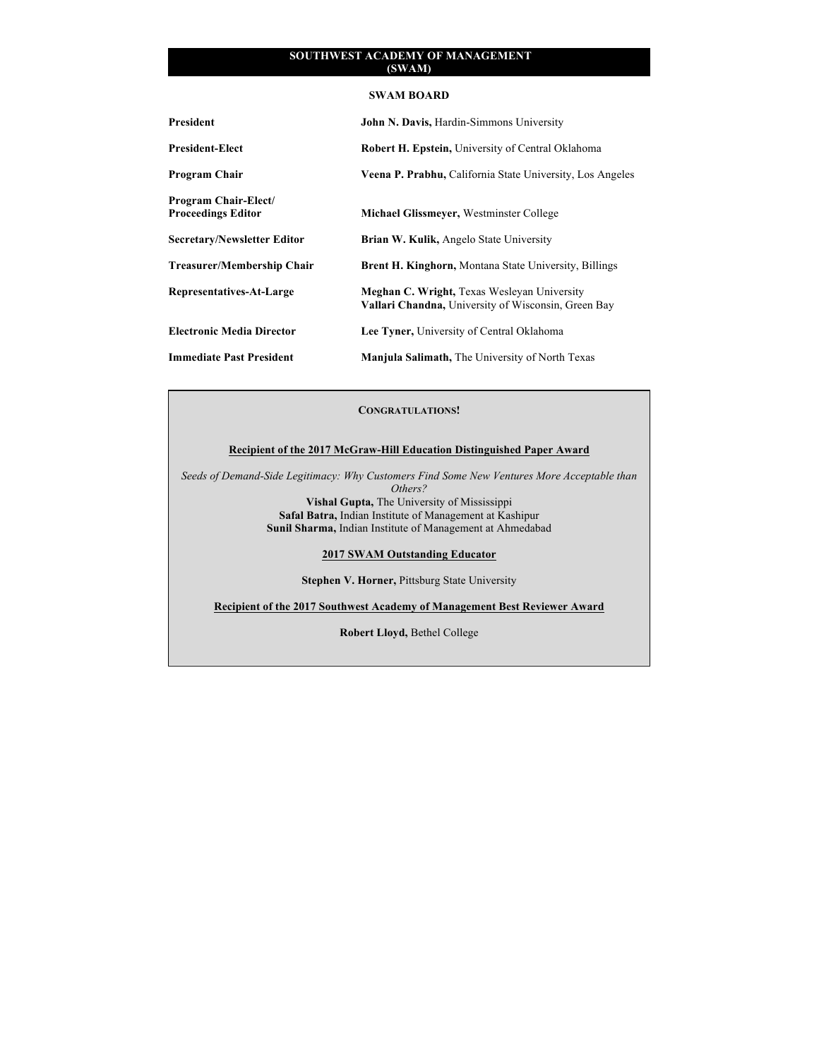### **SWAM BOARD**

| President                                                | John N. Davis, Hardin-Simmons University                                                                  |
|----------------------------------------------------------|-----------------------------------------------------------------------------------------------------------|
| <b>President-Elect</b>                                   | <b>Robert H. Epstein, University of Central Oklahoma</b>                                                  |
| <b>Program Chair</b>                                     | Veena P. Prabhu, California State University, Los Angeles                                                 |
| <b>Program Chair-Elect/</b><br><b>Proceedings Editor</b> | <b>Michael Glissmeyer, Westminster College</b>                                                            |
| <b>Secretary/Newsletter Editor</b>                       | <b>Brian W. Kulik, Angelo State University</b>                                                            |
| <b>Treasurer/Membership Chair</b>                        | <b>Brent H. Kinghorn, Montana State University, Billings</b>                                              |
| Representatives-At-Large                                 | Meghan C. Wright, Texas Wesleyan University<br><b>Vallari Chandna, University of Wisconsin, Green Bay</b> |
| <b>Electronic Media Director</b>                         | Lee Tyner, University of Central Oklahoma                                                                 |
| <b>Immediate Past President</b>                          | <b>Manjula Salimath, The University of North Texas</b>                                                    |

# **CONGRATULATIONS!**

# **Recipient of the 2017 McGraw-Hill Education Distinguished Paper Award**

*Seeds of Demand-Side Legitimacy: Why Customers Find Some New Ventures More Acceptable than Others?* **Vishal Gupta,** The University of Mississippi **Safal Batra,** Indian Institute of Management at Kashipur **Sunil Sharma,** Indian Institute of Management at Ahmedabad

# **2017 SWAM Outstanding Educator**

**Stephen V. Horner,** Pittsburg State University

**Recipient of the 2017 Southwest Academy of Management Best Reviewer Award**

**Robert Lloyd,** Bethel College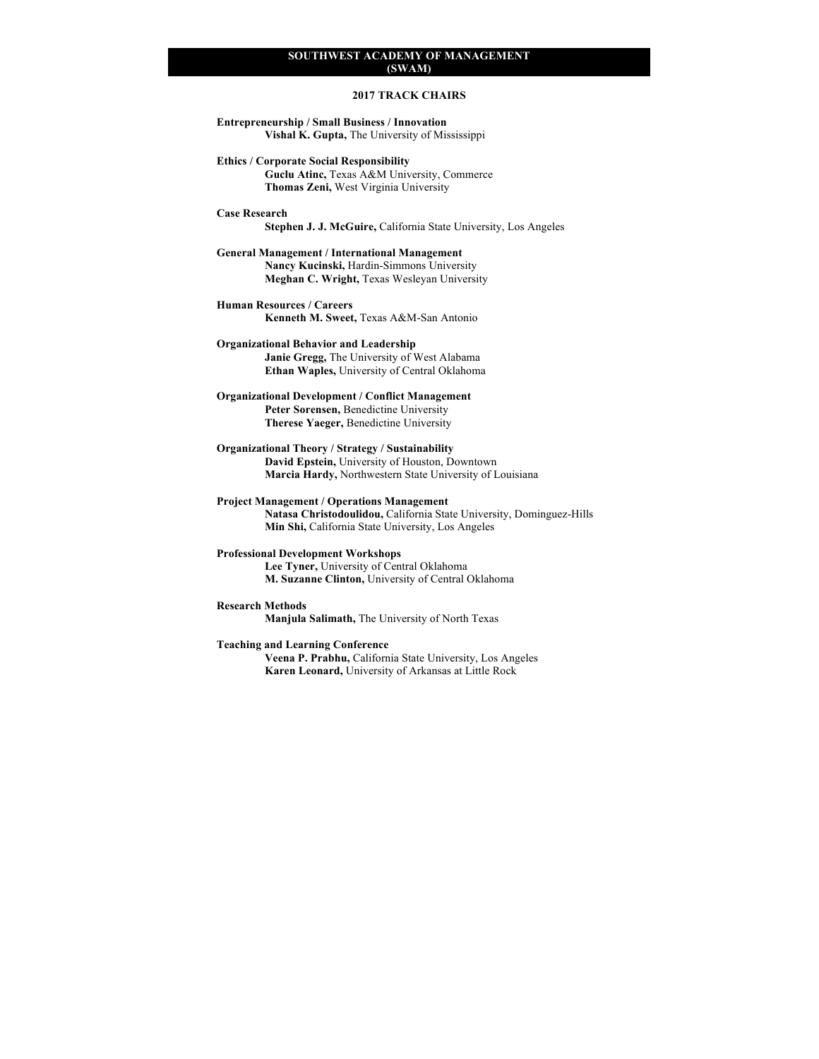# **2017 TRACK CHAIRS**

**Entrepreneurship / Small Business / Innovation Vishal K. Gupta,** The University of Mississippi

**Ethics / Corporate Social Responsibility Guclu Atinc,** Texas A&M University, Commerce

**Thomas Zeni,** West Virginia University

#### **Case Research**

**Stephen J. J. McGuire,** California State University, Los Angeles

**General Management / International Management Nancy Kucinski,** Hardin-Simmons University **Meghan C. Wright,** Texas Wesleyan University

**Human Resources / Careers** 

**Kenneth M. Sweet,** Texas A&M-San Antonio

#### **Organizational Behavior and Leadership**

**Janie Gregg,** The University of West Alabama **Ethan Waples,** University of Central Oklahoma

**Organizational Development / Conflict Management Peter Sorensen,** Benedictine University **Therese Yaeger,** Benedictine University

**Organizational Theory / Strategy / Sustainability David Epstein,** University of Houston, Downtown **Marcia Hardy,** Northwestern State University of Louisiana

**Project Management / Operations Management Natasa Christodoulidou,** California State University, Dominguez-Hills **Min Shi,** California State University, Los Angeles

#### **Professional Development Workshops**

**Lee Tyner,** University of Central Oklahoma **M. Suzanne Clinton,** University of Central Oklahoma

#### **Research Methods**

**Manjula Salimath,** The University of North Texas

#### **Teaching and Learning Conference**

**Veena P. Prabhu,** California State University, Los Angeles **Karen Leonard,** University of Arkansas at Little Rock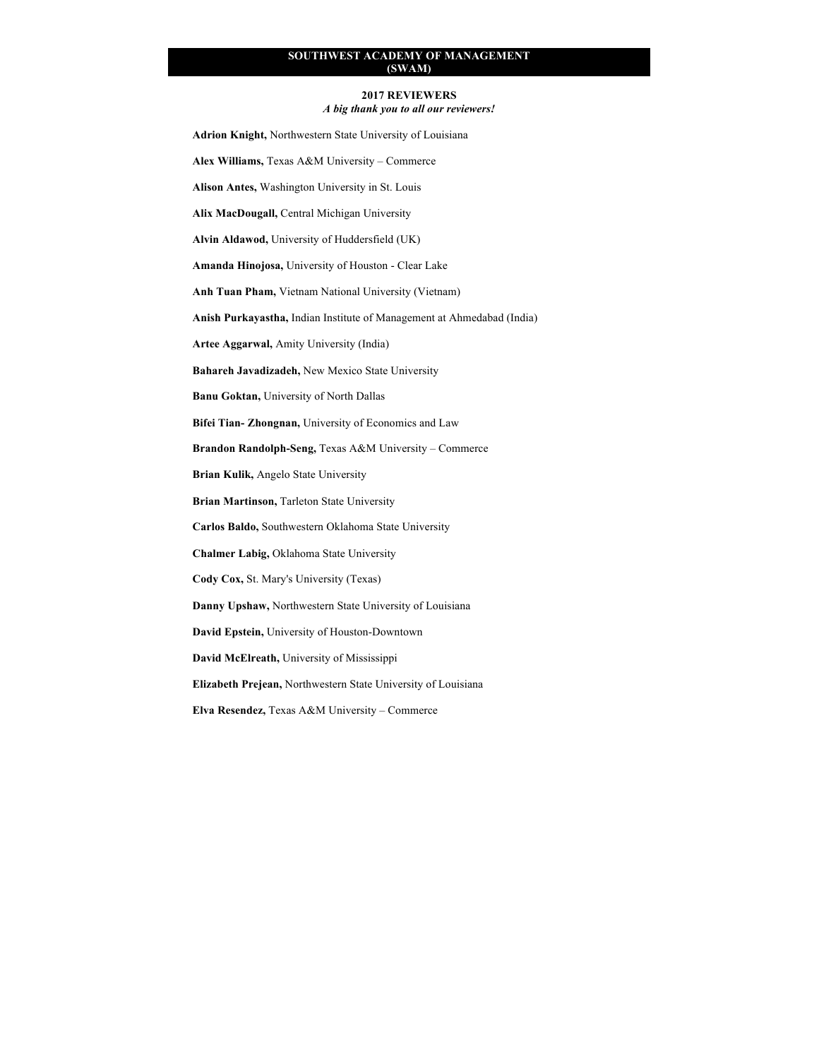#### **2017 REVIEWERS**

*A big thank you to all our reviewers!*

**Adrion Knight,** Northwestern State University of Louisiana **Alex Williams,** Texas A&M University – Commerce **Alison Antes,** Washington University in St. Louis **Alix MacDougall,** Central Michigan University **Alvin Aldawod,** University of Huddersfield (UK) **Amanda Hinojosa,** University of Houston - Clear Lake **Anh Tuan Pham,** Vietnam National University (Vietnam) **Anish Purkayastha,** Indian Institute of Management at Ahmedabad (India) **Artee Aggarwal,** Amity University (India) **Bahareh Javadizadeh,** New Mexico State University **Banu Goktan,** University of North Dallas **Bifei Tian- Zhongnan,** University of Economics and Law **Brandon Randolph-Seng,** Texas A&M University – Commerce **Brian Kulik,** Angelo State University **Brian Martinson,** Tarleton State University **Carlos Baldo,** Southwestern Oklahoma State University **Chalmer Labig,** Oklahoma State University **Cody Cox,** St. Mary's University (Texas) **Danny Upshaw,** Northwestern State University of Louisiana **David Epstein,** University of Houston-Downtown

**David McElreath,** University of Mississippi

**Elizabeth Prejean,** Northwestern State University of Louisiana

**Elva Resendez,** Texas A&M University – Commerce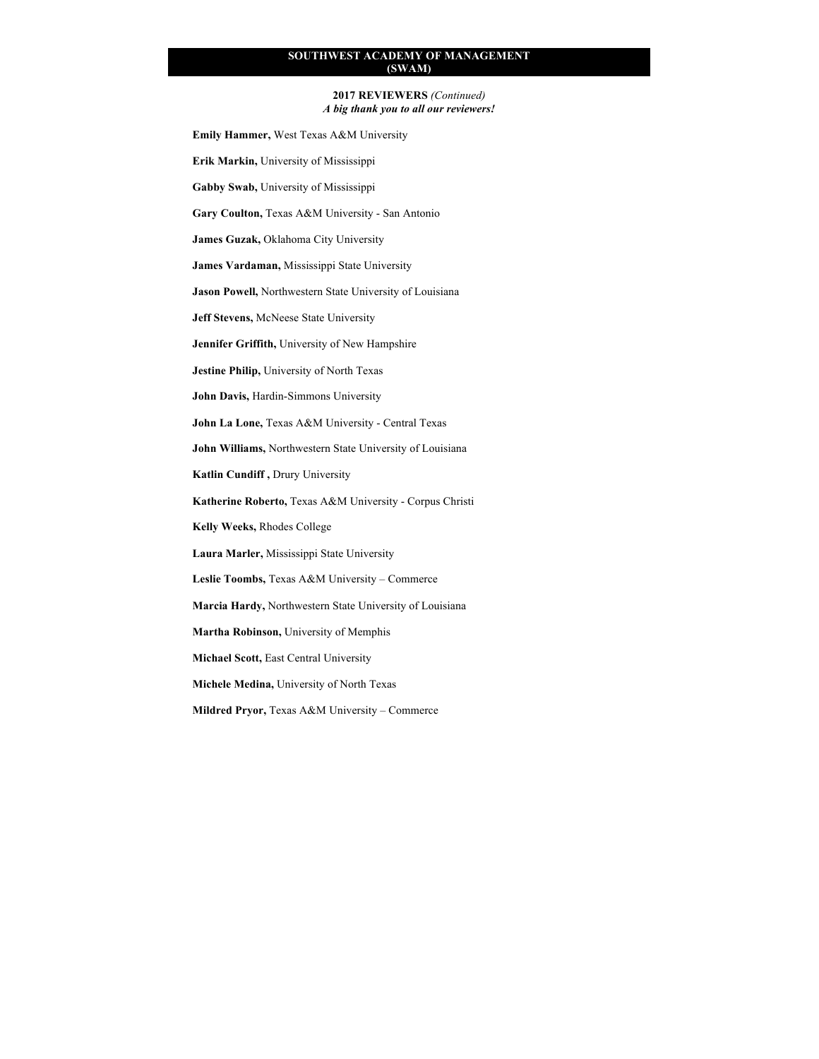#### **2017 REVIEWERS** *(Continued) A big thank you to all our reviewers!*

**Emily Hammer,** West Texas A&M University

**Erik Markin,** University of Mississippi

**Gabby Swab,** University of Mississippi

**Gary Coulton,** Texas A&M University - San Antonio

**James Guzak,** Oklahoma City University

**James Vardaman,** Mississippi State University

**Jason Powell,** Northwestern State University of Louisiana

**Jeff Stevens,** McNeese State University

**Jennifer Griffith,** University of New Hampshire

**Jestine Philip,** University of North Texas

**John Davis,** Hardin-Simmons University

**John La Lone,** Texas A&M University - Central Texas

**John Williams,** Northwestern State University of Louisiana

**Katlin Cundiff ,** Drury University

**Katherine Roberto,** Texas A&M University - Corpus Christi

**Kelly Weeks,** Rhodes College

**Laura Marler,** Mississippi State University

**Leslie Toombs,** Texas A&M University – Commerce

**Marcia Hardy,** Northwestern State University of Louisiana

**Martha Robinson,** University of Memphis

**Michael Scott,** East Central University

**Michele Medina,** University of North Texas

**Mildred Pryor,** Texas A&M University – Commerce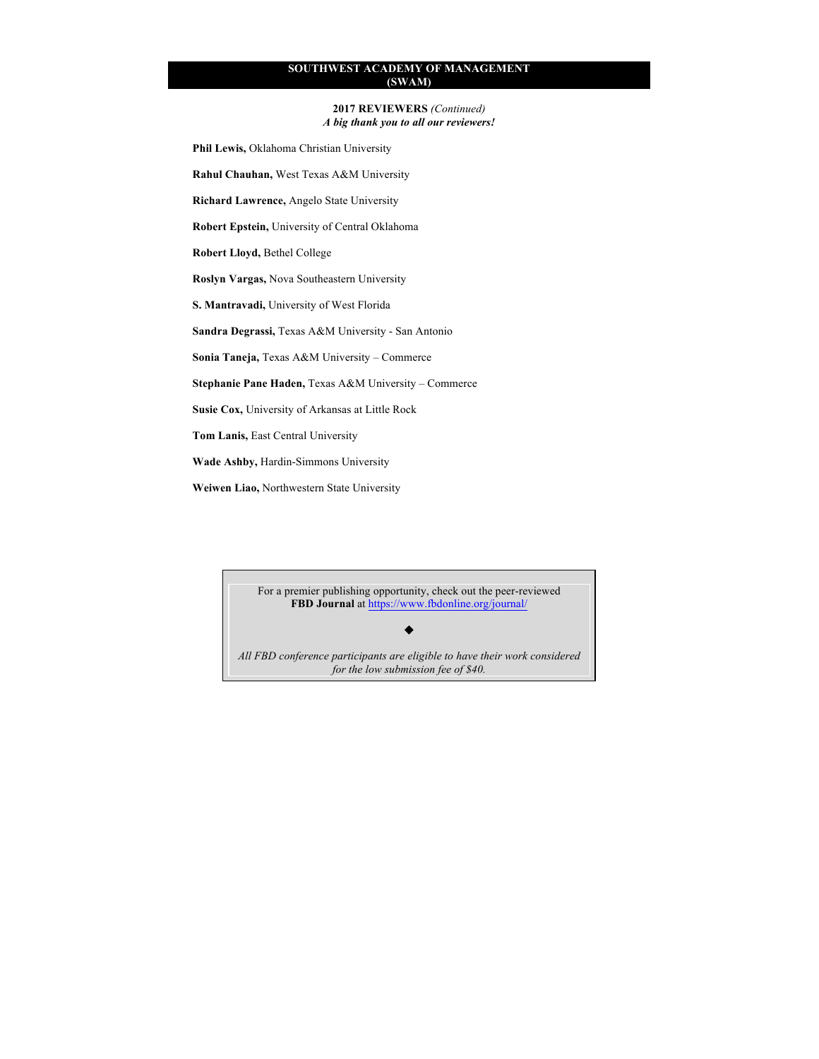**2017 REVIEWERS** *(Continued) A big thank you to all our reviewers!*

**Phil Lewis,** Oklahoma Christian University

**Rahul Chauhan,** West Texas A&M University

**Richard Lawrence,** Angelo State University

**Robert Epstein,** University of Central Oklahoma

**Robert Lloyd,** Bethel College

**Roslyn Vargas,** Nova Southeastern University

**S. Mantravadi,** University of West Florida

**Sandra Degrassi,** Texas A&M University - San Antonio

**Sonia Taneja,** Texas A&M University – Commerce

**Stephanie Pane Haden,** Texas A&M University – Commerce

**Susie Cox,** University of Arkansas at Little Rock

**Tom Lanis,** East Central University

**Wade Ashby,** Hardin-Simmons University

**Weiwen Liao,** Northwestern State University

For a premier publishing opportunity, check out the peer-reviewed **FBD Journal** at https://www.fbdonline.org/journal/

u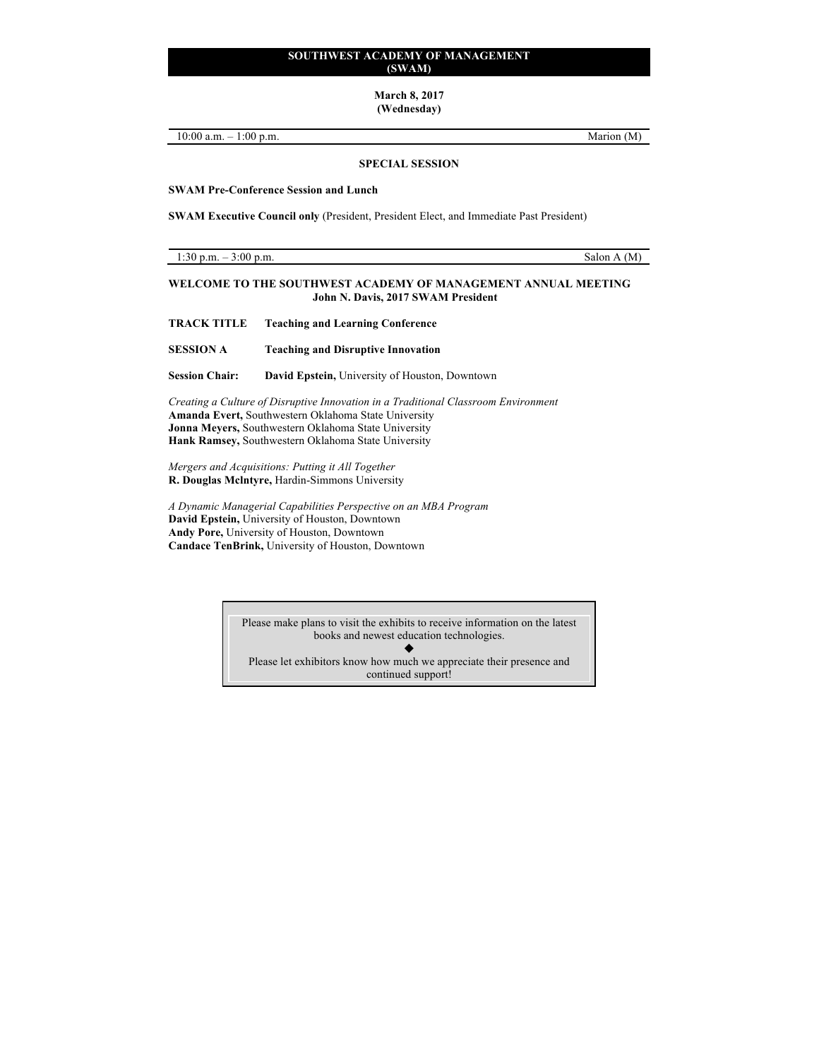**March 8, 2017 (Wednesday)**

10:00 a.m. – 1:00 p.m. 10.00 m.m.

**SPECIAL SESSION**

**SWAM Pre-Conference Session and Lunch**

**SWAM Executive Council only** (President, President Elect, and Immediate Past President)

1:30 p.m.  $-3:00$  p.m. Salon A (M)

### **WELCOME TO THE SOUTHWEST ACADEMY OF MANAGEMENT ANNUAL MEETING John N. Davis, 2017 SWAM President**

**TRACK TITLE Teaching and Learning Conference** 

**SESSION A Teaching and Disruptive Innovation**

**Session Chair: David Epstein,** University of Houston, Downtown

*Creating a Culture of Disruptive Innovation in a Traditional Classroom Environment* **Amanda Evert,** Southwestern Oklahoma State University **Jonna Meyers,** Southwestern Oklahoma State University **Hank Ramsey,** Southwestern Oklahoma State University

*Mergers and Acquisitions: Putting it All Together* **R. Douglas Mclntyre,** Hardin-Simmons University

*A Dynamic Managerial Capabilities Perspective on an MBA Program* **David Epstein,** University of Houston, Downtown **Andy Pore,** University of Houston, Downtown **Candace TenBrink,** University of Houston, Downtown

> Please make plans to visit the exhibits to receive information on the latest books and newest education technologies.  $\blacklozenge$ Please let exhibitors know how much we appreciate their presence and continued support!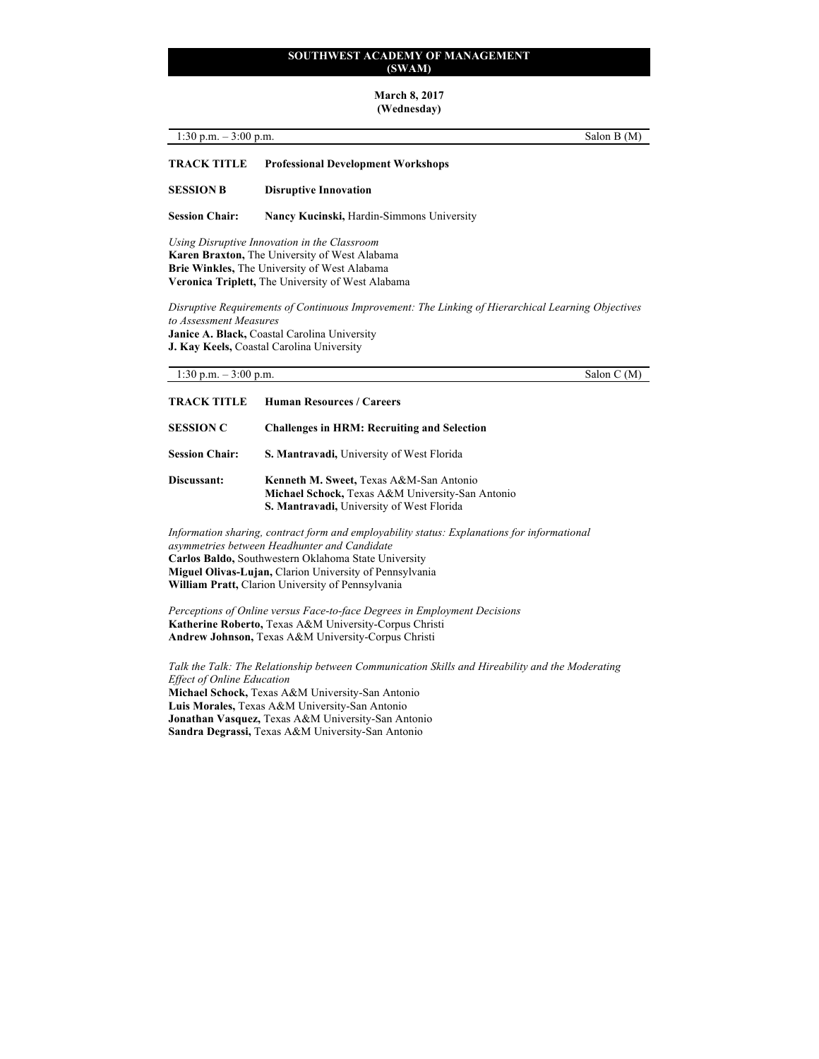#### **March 8, 2017 (Wednesday)**

| 1:30 p.m. $-3:00$ p.m. |                                           | Salon B (M) |
|------------------------|-------------------------------------------|-------------|
| <b>TRACK TITLE</b>     | <b>Professional Development Workshops</b> |             |
| <b>SESSION B</b>       | <b>Disruptive Innovation</b>              |             |
| <b>Session Chair:</b>  | Nancy Kucinski, Hardin-Simmons University |             |

*Using Disruptive Innovation in the Classroom* **Karen Braxton,** The University of West Alabama **Brie Winkles,** The University of West Alabama **Veronica Triplett,** The University of West Alabama

*Disruptive Requirements of Continuous Improvement: The Linking of Hierarchical Learning Objectives to Assessment Measures*  **Janice A. Black,** Coastal Carolina University **J. Kay Keels,** Coastal Carolina University

1:30 p.m. – 3:00 p.m. Salon C (M)

| TRACK TITLE           | <b>Human Resources / Careers</b>                                                                                                         |
|-----------------------|------------------------------------------------------------------------------------------------------------------------------------------|
| <b>SESSION C</b>      | <b>Challenges in HRM: Recruiting and Selection</b>                                                                                       |
| <b>Session Chair:</b> | S. Mantravadi, University of West Florida                                                                                                |
| Discussant:           | Kenneth M. Sweet, Texas A&M-San Antonio<br>Michael Schock, Texas A&M University-San Antonio<br>S. Mantravadi, University of West Florida |

*Information sharing, contract form and employability status: Explanations for informational asymmetries between Headhunter and Candidate* **Carlos Baldo,** Southwestern Oklahoma State University **Miguel Olivas-Lujan,** Clarion University of Pennsylvania **William Pratt,** Clarion University of Pennsylvania

*Perceptions of Online versus Face-to-face Degrees in Employment Decisions* **Katherine Roberto,** Texas A&M University-Corpus Christi **Andrew Johnson,** Texas A&M University-Corpus Christi

*Talk the Talk: The Relationship between Communication Skills and Hireability and the Moderating Effect of Online Education* **Michael Schock,** Texas A&M University-San Antonio **Luis Morales,** Texas A&M University-San Antonio

**Jonathan Vasquez,** Texas A&M University-San Antonio **Sandra Degrassi,** Texas A&M University-San Antonio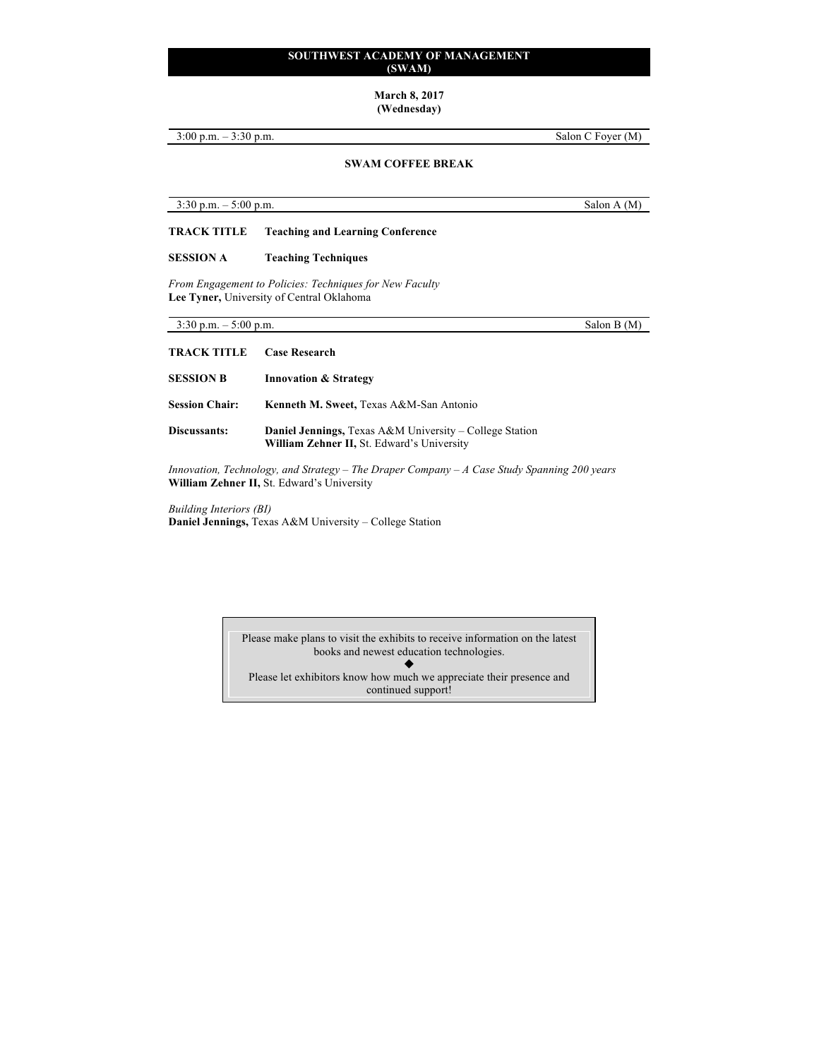### **March 8, 2017 (Wednesday)**

3:00 p.m. – 3:30 p.m. Salon C Foyer (M)

# **SWAM COFFEE BREAK**

3:30 p.m. – 5:00 p.m. Salon A (M)

**TRACK TITLE Teaching and Learning Conference**

# **SESSION A Teaching Techniques**

*From Engagement to Policies: Techniques for New Faculty* **Lee Tyner,** University of Central Oklahoma

 $3:30 \text{ p.m.} - 5:00 \text{ p.m.}$  Salon B (M) **TRACK TITLE Case Research SESSION B Innovation & Strategy Session Chair: Kenneth M. Sweet,** Texas A&M-San Antonio **Discussants: Daniel Jennings,** Texas A&M University – College Station **William Zehner II,** St. Edward's University

*Innovation, Technology, and Strategy – The Draper Company – A Case Study Spanning 200 years* **William Zehner II,** St. Edward's University

*Building Interiors (BI)* **Daniel Jennings,** Texas A&M University – College Station

> Please make plans to visit the exhibits to receive information on the latest books and newest education technologies.  $\blacklozenge$ Please let exhibitors know how much we appreciate their presence and continued support!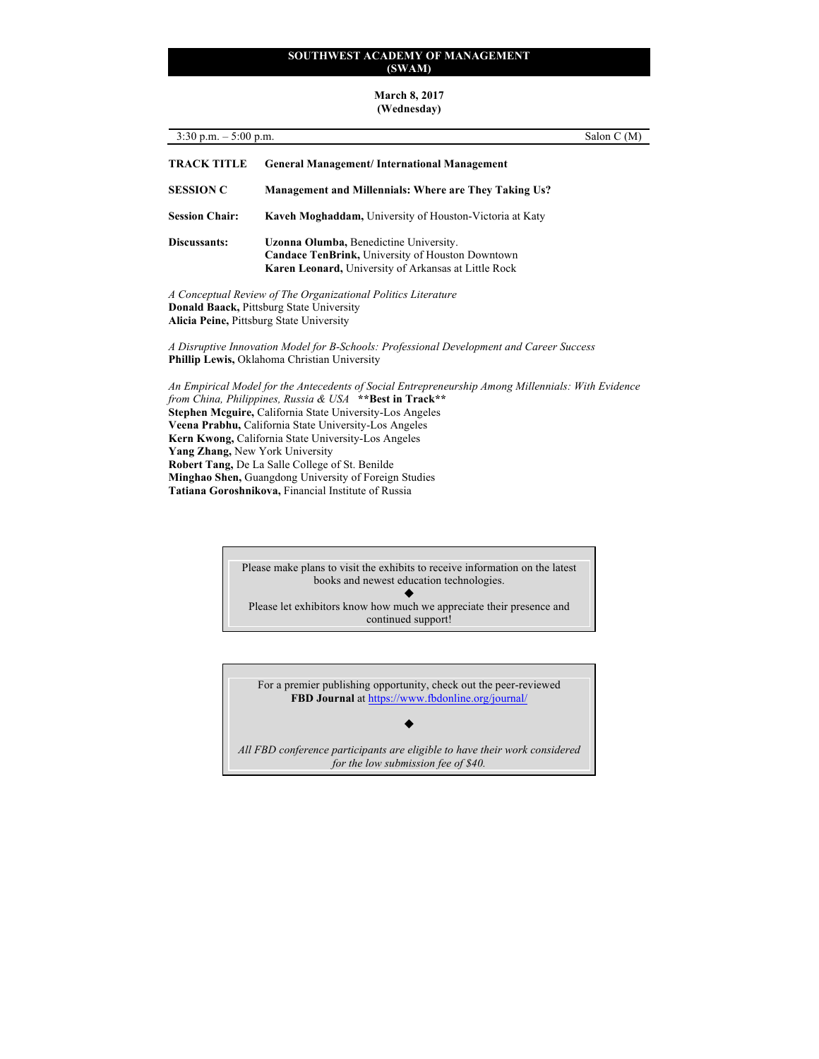#### **March 8, 2017 (Wednesday)**

| $3:30$ p.m. $-5:00$ p.m.<br>Salon C (M) |                                                                                                                                                                                                                                                                                             |
|-----------------------------------------|---------------------------------------------------------------------------------------------------------------------------------------------------------------------------------------------------------------------------------------------------------------------------------------------|
| <b>TRACK TITLE</b>                      | <b>General Management/International Management</b>                                                                                                                                                                                                                                          |
| <b>SESSION C</b>                        | <b>Management and Millennials: Where are They Taking Us?</b>                                                                                                                                                                                                                                |
| <b>Session Chair:</b>                   | Kaveh Moghaddam, University of Houston-Victoria at Katy                                                                                                                                                                                                                                     |
| Discussants:                            | Uzonna Olumba, Benedictine University.<br><b>Candace TenBrink, University of Houston Downtown</b><br><b>Karen Leonard, University of Arkansas at Little Rock</b>                                                                                                                            |
|                                         | A Conceptual Review of The Organizational Politics Literature<br><b>Donald Baack, Pittsburg State University</b><br><b>Alicia Peine, Pittsburg State University</b>                                                                                                                         |
|                                         | A Disruptive Innovation Model for B-Schools: Professional Development and Career Success<br>Phillip Lewis, Oklahoma Christian University                                                                                                                                                    |
|                                         | An Empirical Model for the Antecedents of Social Entrepreneurship Among Millennials: With Evidence<br>from China, Philippines, Russia & USA **Best in Track**<br><b>Stephen Mcguire, California State University-Los Angeles</b><br>Vegano Dualphy, Colifornia State University Los Angolas |

**Veena Prabhu,** California State University-Los Angeles **Kern Kwong,** California State University-Los Angeles **Yang Zhang,** New York University **Robert Tang,** De La Salle College of St. Benilde **Minghao Shen,** Guangdong University of Foreign Studies **Tatiana Goroshnikova,** Financial Institute of Russia

> Please make plans to visit the exhibits to receive information on the latest books and newest education technologies.  $\blacklozenge$

Please let exhibitors know how much we appreciate their presence and continued support!

For a premier publishing opportunity, check out the peer-reviewed **FBD Journal** at https://www.fbdonline.org/journal/

 $\blacklozenge$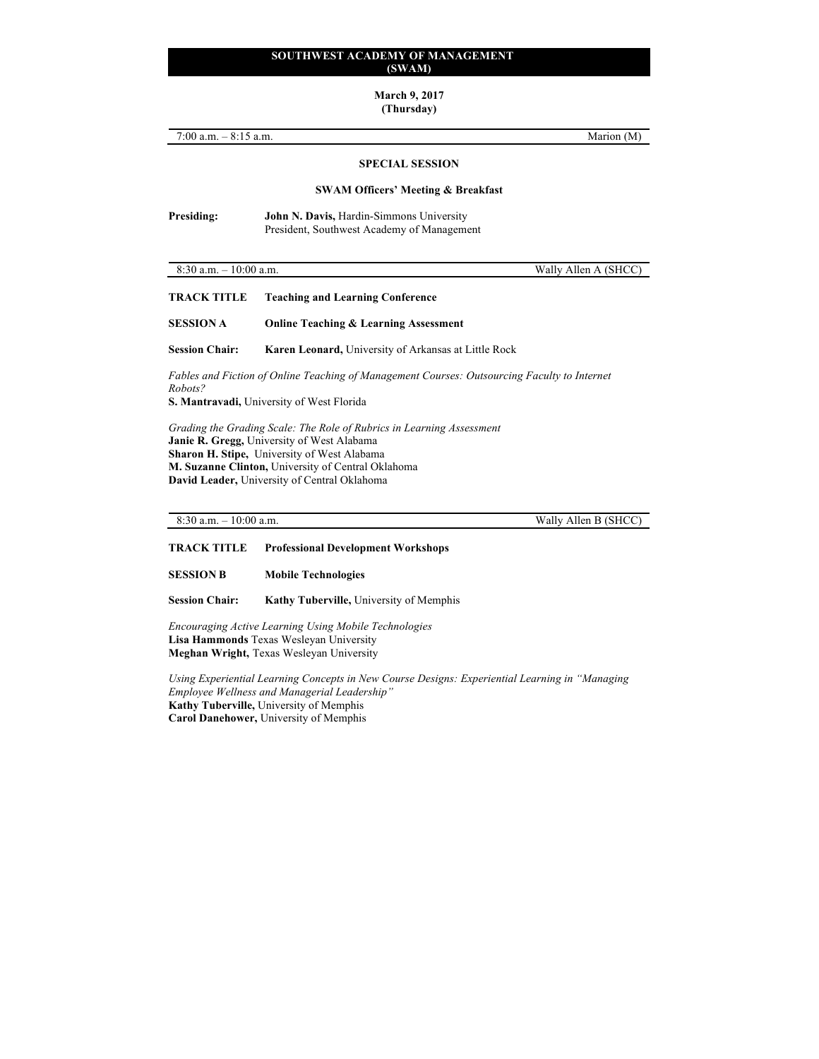**March 9, 2017**

**(Thursday)**

| 7:00 a.m. $-$ 8:15 a.m.   | Marion (M)                                                                                                                                                                                                                                                                      |  |
|---------------------------|---------------------------------------------------------------------------------------------------------------------------------------------------------------------------------------------------------------------------------------------------------------------------------|--|
|                           | <b>SPECIAL SESSION</b>                                                                                                                                                                                                                                                          |  |
|                           | <b>SWAM Officers' Meeting &amp; Breakfast</b>                                                                                                                                                                                                                                   |  |
| <b>Presiding:</b>         | John N. Davis, Hardin-Simmons University<br>President, Southwest Academy of Management                                                                                                                                                                                          |  |
| $8:30$ a.m. $-10:00$ a.m. | Wally Allen A (SHCC)                                                                                                                                                                                                                                                            |  |
| <b>TRACK TITLE</b>        | <b>Teaching and Learning Conference</b>                                                                                                                                                                                                                                         |  |
| <b>SESSION A</b>          | <b>Online Teaching &amp; Learning Assessment</b>                                                                                                                                                                                                                                |  |
| <b>Session Chair:</b>     | Karen Leonard, University of Arkansas at Little Rock                                                                                                                                                                                                                            |  |
| Robots?                   | Fables and Fiction of Online Teaching of Management Courses: Outsourcing Faculty to Internet<br>S. Mantravadi, University of West Florida                                                                                                                                       |  |
|                           | Grading the Grading Scale: The Role of Rubrics in Learning Assessment<br>Janie R. Gregg, University of West Alabama<br><b>Sharon H. Stipe, University of West Alabama</b><br>M. Suzanne Clinton, University of Central Oklahoma<br>David Leader, University of Central Oklahoma |  |

8:30 a.m. – 10:00 a.m. Wally Allen B (SHCC)

**TRACK TITLE Professional Development Workshops**

**SESSION B Mobile Technologies**

**Session Chair: Kathy Tuberville,** University of Memphis

*Encouraging Active Learning Using Mobile Technologies* **Lisa Hammonds** Texas Wesleyan University **Meghan Wright,** Texas Wesleyan University

*Using Experiential Learning Concepts in New Course Designs: Experiential Learning in "Managing Employee Wellness and Managerial Leadership"* **Kathy Tuberville,** University of Memphis **Carol Danehower,** University of Memphis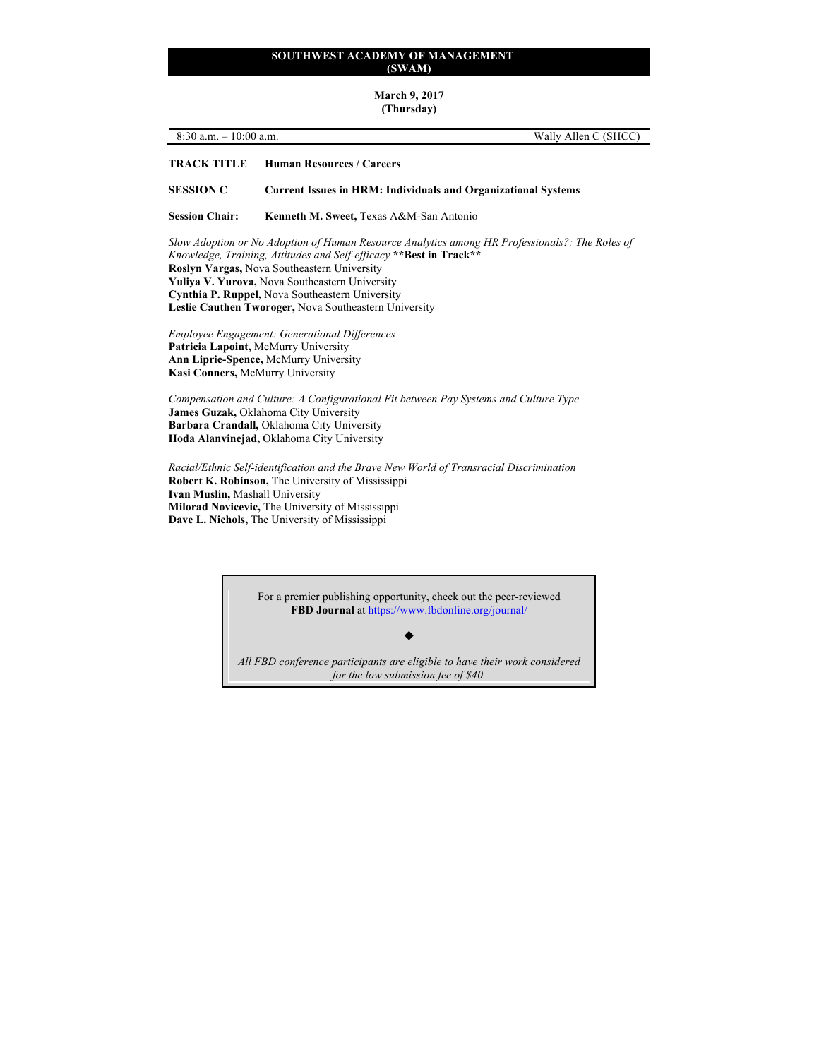**March 9, 2017 (Thursday)**

# 8:30 a.m. – 10:00 a.m. Wally Allen C (SHCC)

#### **TRACK TITLE Human Resources / Careers**

**SESSION C Current Issues in HRM: Individuals and Organizational Systems**

Session Chair: Kenneth M. Sweet, Texas A&M-San Antonio

*Slow Adoption or No Adoption of Human Resource Analytics among HR Professionals?: The Roles of Knowledge, Training, Attitudes and Self-efficacy* **\*\*Best in Track\*\* Roslyn Vargas,** Nova Southeastern University **Yuliya V. Yurova,** Nova Southeastern University **Cynthia P. Ruppel,** Nova Southeastern University **Leslie Cauthen Tworoger,** Nova Southeastern University

*Employee Engagement: Generational Differences* **Patricia Lapoint,** McMurry University **Ann Liprie-Spence,** McMurry University **Kasi Conners,** McMurry University

*Compensation and Culture: A Configurational Fit between Pay Systems and Culture Type* **James Guzak,** Oklahoma City University **Barbara Crandall,** Oklahoma City University **Hoda Alanvinejad,** Oklahoma City University

*Racial/Ethnic Self-identification and the Brave New World of Transracial Discrimination* **Robert K. Robinson,** The University of Mississippi **Ivan Muslin,** Mashall University **Milorad Novicevic,** The University of Mississippi **Dave L. Nichols,** The University of Mississippi

> For a premier publishing opportunity, check out the peer-reviewed **FBD Journal** at https://www.fbdonline.org/journal/

> > $\blacklozenge$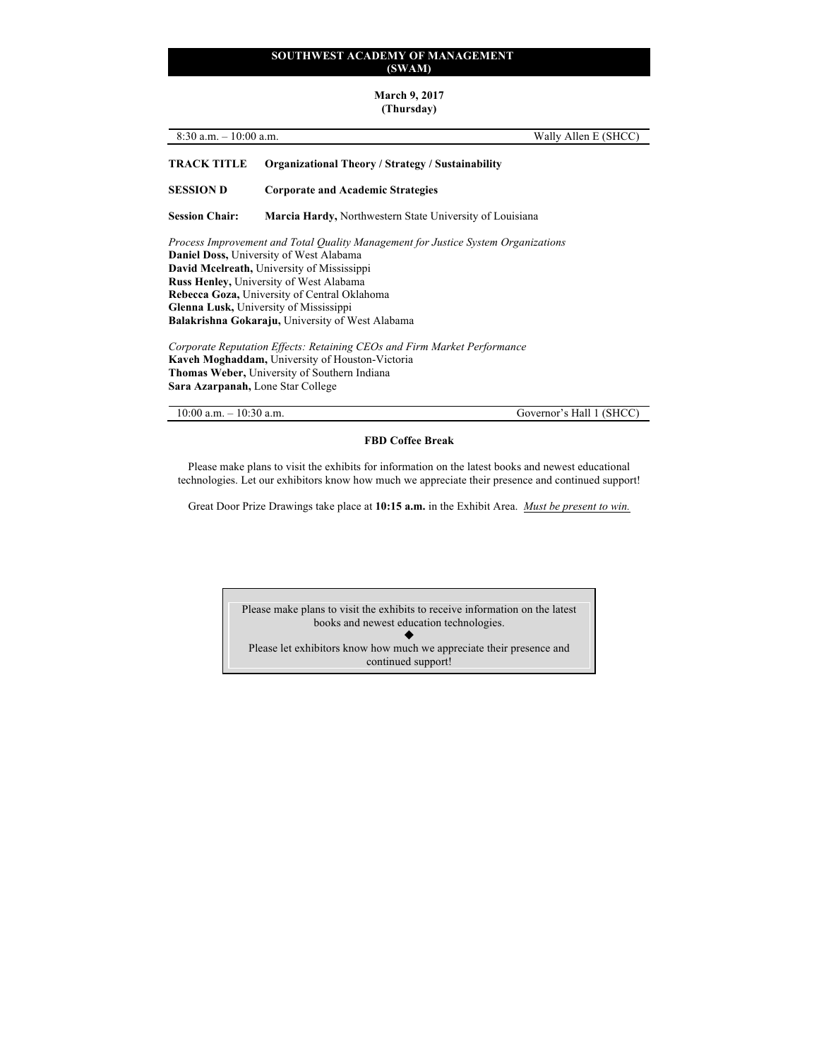#### **March 9, 2017 (Thursday)**

| $8:30$ a.m.<br>$-10:00$ a.m. | Wally Allen E (SHCC) |
|------------------------------|----------------------|
|                              |                      |

# **TRACK TITLE Organizational Theory / Strategy / Sustainability**

**SESSION D Corporate and Academic Strategies**

**Session Chair: Marcia Hardy,** Northwestern State University of Louisiana

*Process Improvement and Total Quality Management for Justice System Organizations* **Daniel Doss,** University of West Alabama **David Mcelreath,** University of Mississippi **Russ Henley,** University of West Alabama **Rebecca Goza,** University of Central Oklahoma **Glenna Lusk,** University of Mississippi **Balakrishna Gokaraju,** University of West Alabama

*Corporate Reputation Effects: Retaining CEOs and Firm Market Performance* **Kaveh Moghaddam,** University of Houston-Victoria **Thomas Weber,** University of Southern Indiana **Sara Azarpanah,** Lone Star College

10:00 a.m. – 10:30 a.m. Governor's Hall 1 (SHCC)

### **FBD Coffee Break**

Please make plans to visit the exhibits for information on the latest books and newest educational technologies. Let our exhibitors know how much we appreciate their presence and continued support!

Great Door Prize Drawings take place at **10:15 a.m.** in the Exhibit Area. *Must be present to win.*

Please make plans to visit the exhibits to receive information on the latest books and newest education technologies.  $\blacklozenge$ Please let exhibitors know how much we appreciate their presence and continued support!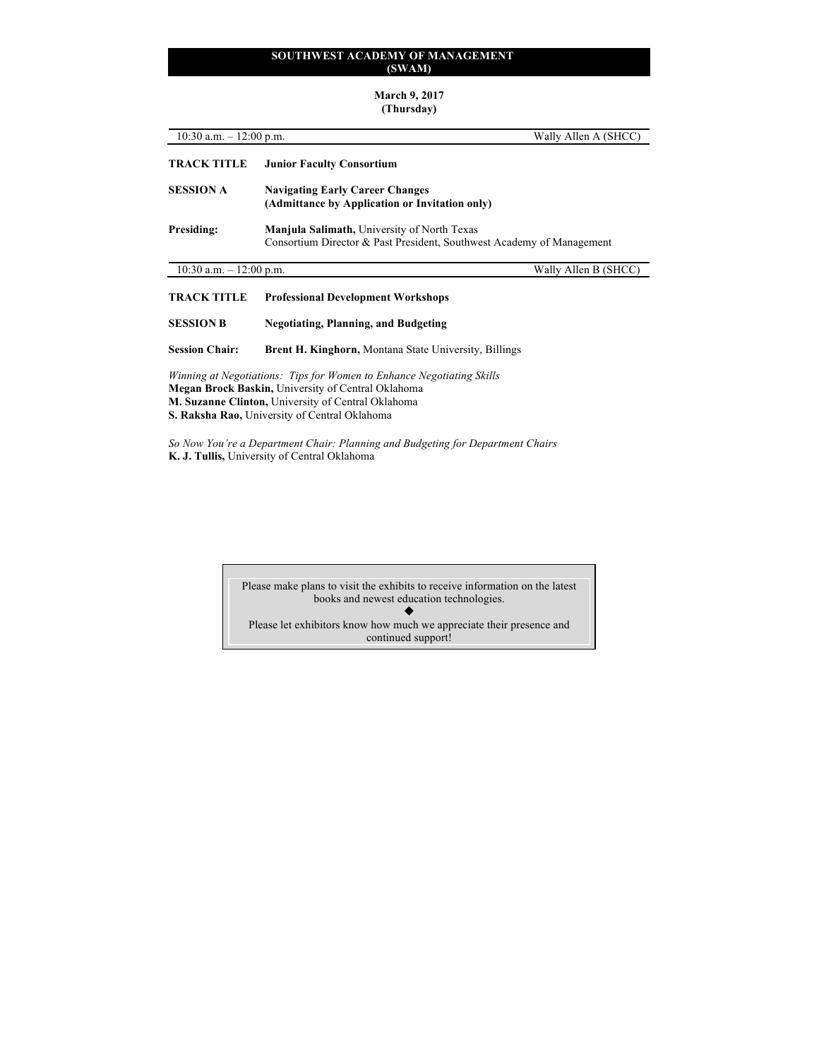#### **March 9, 2017 (Thursday)**

10:30 a.m. – 12:00 p.m. Wally Allen A (SHCC) **TRACK TITLE Junior Faculty Consortium SESSION A Navigating Early Career Changes (Admittance by Application or Invitation only) Presiding: Manjula Salimath,** University of North Texas Consortium Director & Past President, Southwest Academy of Management 10:30 a.m. – 12:00 p.m. Wally Allen B (SHCC) **TRACK TITLE Professional Development Workshops SESSION B Negotiating, Planning, and Budgeting Session Chair: Brent H. Kinghorn,** Montana State University, Billings *Winning at Negotiations: Tips for Women to Enhance Negotiating Skills*

**Megan Brock Baskin,** University of Central Oklahoma **M. Suzanne Clinton,** University of Central Oklahoma **S. Raksha Rao,** University of Central Oklahoma

*So Now You're a Department Chair: Planning and Budgeting for Department Chairs* **K. J. Tullis,** University of Central Oklahoma

> Please make plans to visit the exhibits to receive information on the latest books and newest education technologies.  $\blacklozenge$

Please let exhibitors know how much we appreciate their presence and continued support!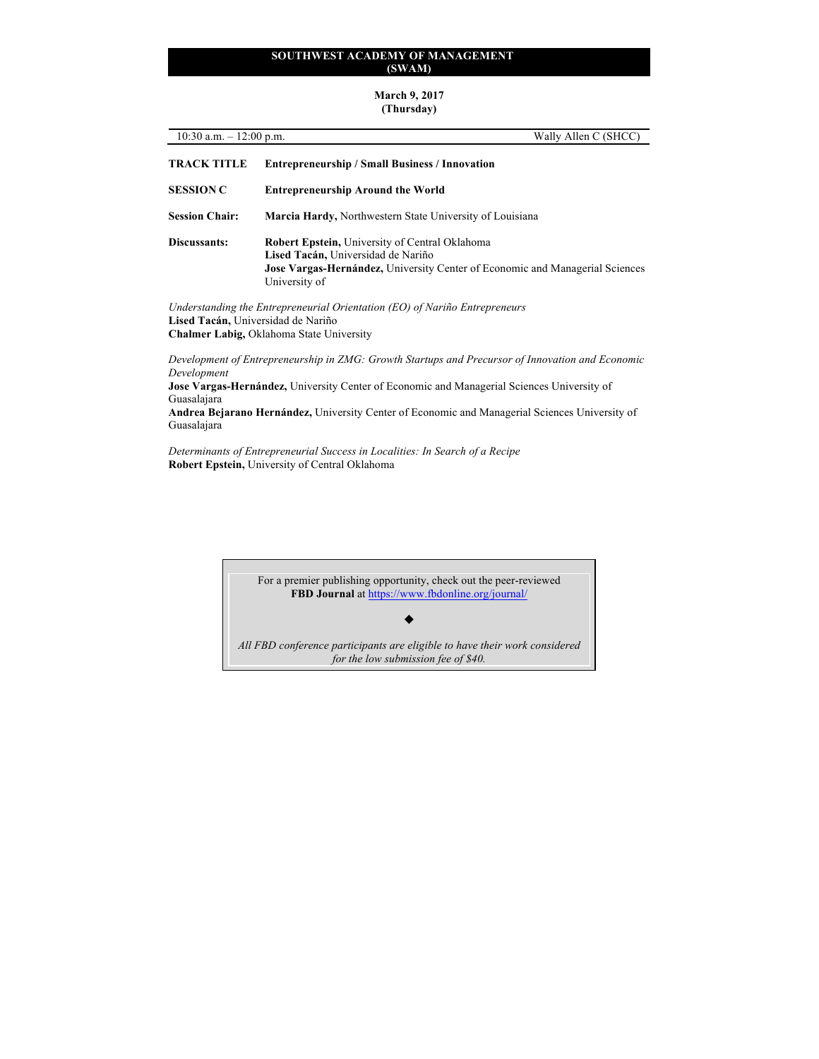#### **March 9, 2017 (Thursday)**

| Wally Allen C (SHCC)<br>10:30 a.m. $-12:00$ p.m. |                                                                                                                                                                                              |  |
|--------------------------------------------------|----------------------------------------------------------------------------------------------------------------------------------------------------------------------------------------------|--|
| <b>TRACK TITLE</b>                               | <b>Entrepreneurship / Small Business / Innovation</b>                                                                                                                                        |  |
| <b>SESSION C</b>                                 | <b>Entrepreneurship Around the World</b>                                                                                                                                                     |  |
| <b>Session Chair:</b>                            | <b>Marcia Hardy, Northwestern State University of Louisiana</b>                                                                                                                              |  |
| Discussants:                                     | <b>Robert Epstein, University of Central Oklahoma</b><br>Lised Tacán, Universidad de Nariño<br>Jose Vargas-Hernández, University Center of Economic and Managerial Sciences<br>University of |  |
| Lised Tacán, Universidad de Nariño               | Understanding the Entrepreneurial Orientation (EO) of Nariño Entrepreneurs<br><b>Chalmer Labig, Oklahoma State University</b>                                                                |  |
| Development                                      | Development of Entrepreneurship in ZMG: Growth Startups and Precursor of Innovation and Economic                                                                                             |  |
| Guasalajara                                      | Jose Vargas-Hernández, University Center of Economic and Managerial Sciences University of                                                                                                   |  |

**Andrea Bejarano Hernández,** University Center of Economic and Managerial Sciences University of

*Determinants of Entrepreneurial Success in Localities: In Search of a Recipe* **Robert Epstein,** University of Central Oklahoma

Guasalajara

For a premier publishing opportunity, check out the peer-reviewed **FBD Journal** at https://www.fbdonline.org/journal/

 $\blacklozenge$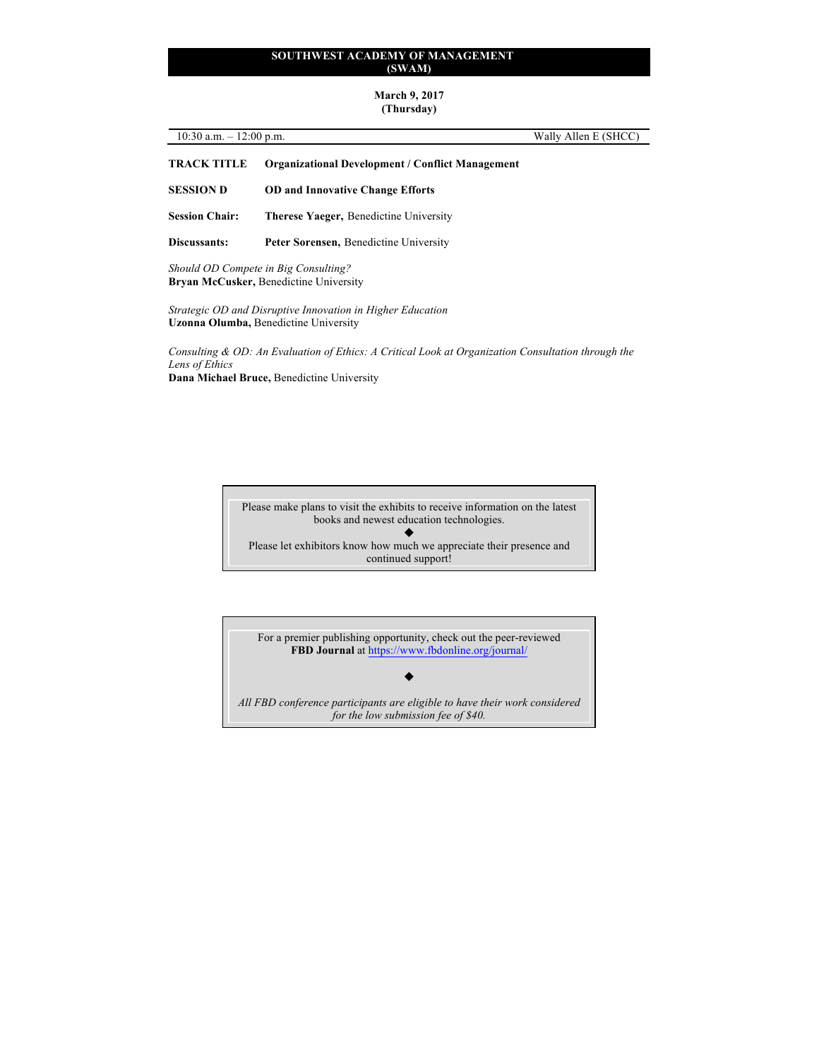#### **March 9, 2017 (Thursday)**

| 10:30 a.m. $-12:00$ p.m. |                                                         | Wally Allen E (SHCC) |
|--------------------------|---------------------------------------------------------|----------------------|
| <b>TRACK TITLE</b>       | <b>Organizational Development / Conflict Management</b> |                      |

- **SESSION D OD and Innovative Change Efforts**
- **Session Chair: Therese Yaeger,** Benedictine University
- **Discussants: Peter Sorensen,** Benedictine University

*Should OD Compete in Big Consulting?* **Bryan McCusker,** Benedictine University

*Strategic OD and Disruptive Innovation in Higher Education* **Uzonna Olumba,** Benedictine University

*Consulting & OD: An Evaluation of Ethics: A Critical Look at Organization Consultation through the Lens of Ethics* **Dana Michael Bruce,** Benedictine University

> Please make plans to visit the exhibits to receive information on the latest books and newest education technologies.  $\blacklozenge$ Please let exhibitors know how much we appreciate their presence and continued support!

For a premier publishing opportunity, check out the peer-reviewed **FBD Journal** at https://www.fbdonline.org/journal/

*All FBD conference participants are eligible to have their work considered for the low submission fee of \$40.*

 $\blacklozenge$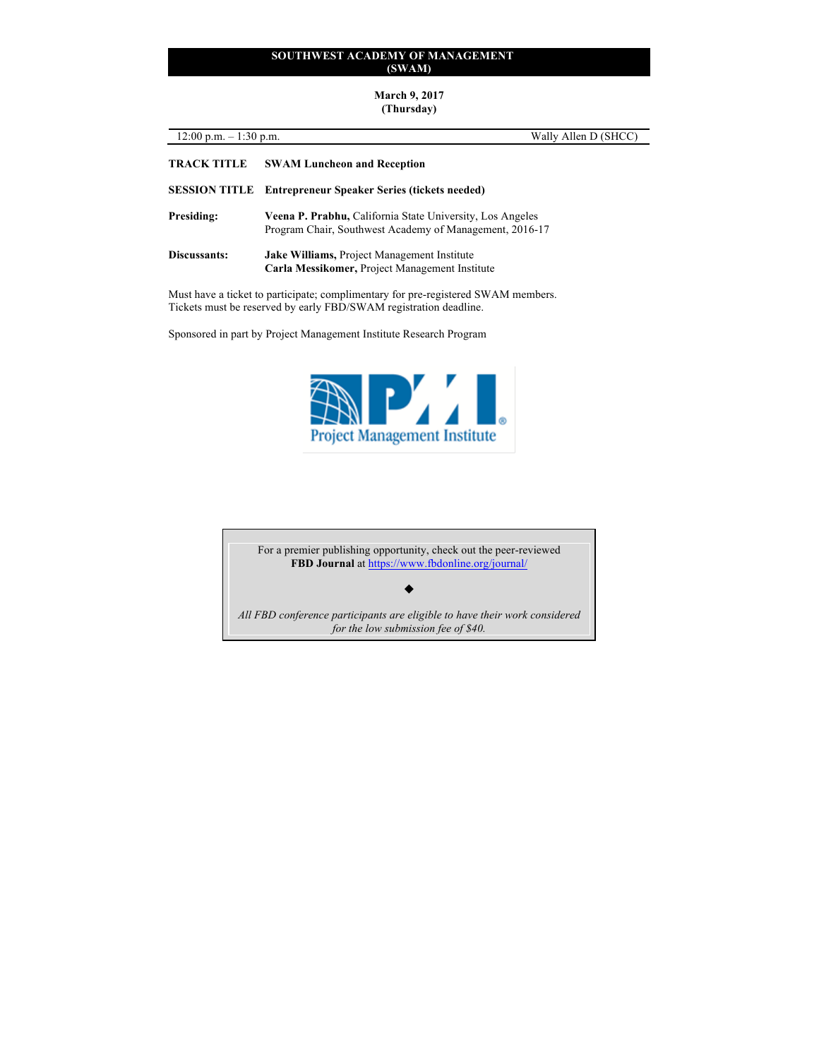**March 9, 2017 (Thursday)**

| $12:00 \text{ p.m.} - 1:30 \text{ p.m.}$ | Wally Allen D (SHCC)                                                                                                 |
|------------------------------------------|----------------------------------------------------------------------------------------------------------------------|
| <b>TRACK TITLE</b>                       | <b>SWAM Luncheon and Reception</b>                                                                                   |
|                                          | <b>SESSION TITLE</b> Entrepreneur Speaker Series (tickets needed)                                                    |
| <b>Presiding:</b>                        | Veena P. Prabhu, California State University, Los Angeles<br>Program Chair, Southwest Academy of Management, 2016-17 |
| Discussants:                             | Jake Williams, Project Management Institute<br>Carla Messikomer, Project Management Institute                        |
|                                          | Must have a ticket to participate; complimentary for pre-registered SWAM members.                                    |

Tickets must be reserved by early FBD/SWAM registration deadline.

Sponsored in part by Project Management Institute Research Program



For a premier publishing opportunity, check out the peer-reviewed **FBD Journal** at https://www.fbdonline.org/journal/

 $\blacklozenge$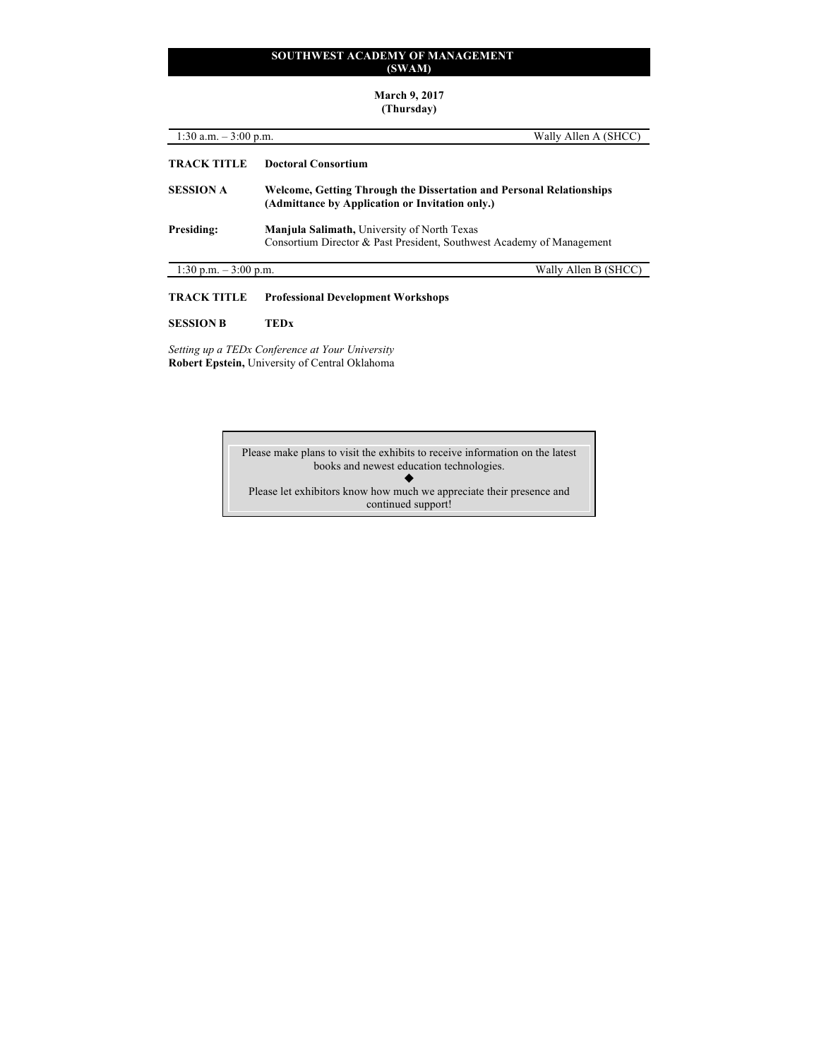# **March 9, 2017 (Thursday)**

| 1:30 a.m. $-3:00$ p.m. |                                                                                                                             | Wally Allen A (SHCC) |
|------------------------|-----------------------------------------------------------------------------------------------------------------------------|----------------------|
| <b>TRACK TITLE</b>     | Doctoral Consortium                                                                                                         |                      |
| <b>SESSION A</b>       | Welcome, Getting Through the Dissertation and Personal Relationships<br>(Admittance by Application or Invitation only.)     |                      |
| Presiding:             | <b>Manjula Salimath, University of North Texas</b><br>Consortium Director & Past President, Southwest Academy of Management |                      |
| 1:30 p.m. $-3:00$ p.m. |                                                                                                                             | Wally Allen B (SHCC) |
| <b>TRACK TITLE</b>     | <b>Professional Development Workshops</b>                                                                                   |                      |

# **SESSION B TEDx**

*Setting up a TEDx Conference at Your University* **Robert Epstein,** University of Central Oklahoma

> Please make plans to visit the exhibits to receive information on the latest books and newest education technologies.  $\blacklozenge$ Please let exhibitors know how much we appreciate their presence and

continued support!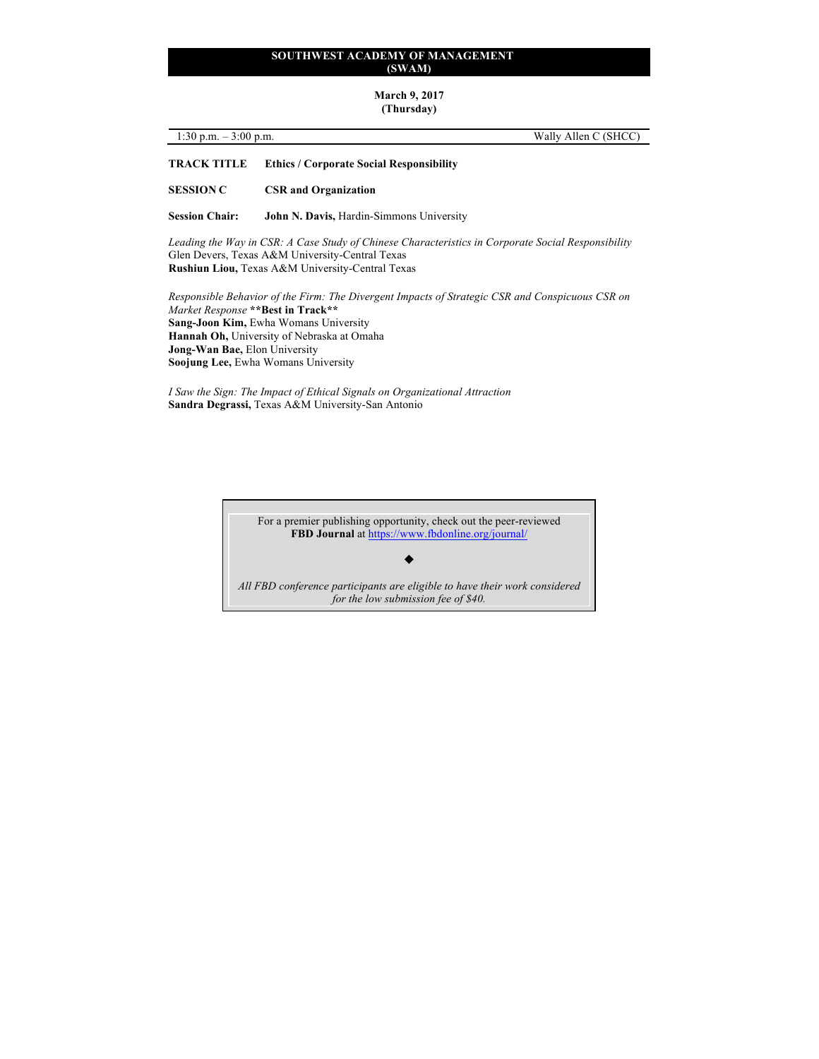#### **March 9, 2017 (Thursday)**

| 1:30 p.m. $-3:00$ p.m. | Wally Allen C (SHCC) |  |
|------------------------|----------------------|--|

# **TRACK TITLE Ethics / Corporate Social Responsibility**

**SESSION C CSR and Organization**

**Session Chair: John N. Davis,** Hardin-Simmons University

*Leading the Way in CSR: A Case Study of Chinese Characteristics in Corporate Social Responsibility* Glen Devers, Texas A&M University-Central Texas **Rushiun Liou,** Texas A&M University-Central Texas

*Responsible Behavior of the Firm: The Divergent Impacts of Strategic CSR and Conspicuous CSR on Market Response* **\*\*Best in Track\*\* Sang-Joon Kim,** Ewha Womans University **Hannah Oh,** University of Nebraska at Omaha **Jong-Wan Bae,** Elon University **Soojung Lee,** Ewha Womans University

*I Saw the Sign: The Impact of Ethical Signals on Organizational Attraction*  **Sandra Degrassi,** Texas A&M University-San Antonio

> For a premier publishing opportunity, check out the peer-reviewed **FBD Journal** at https://www.fbdonline.org/journal/

#### $\blacklozenge$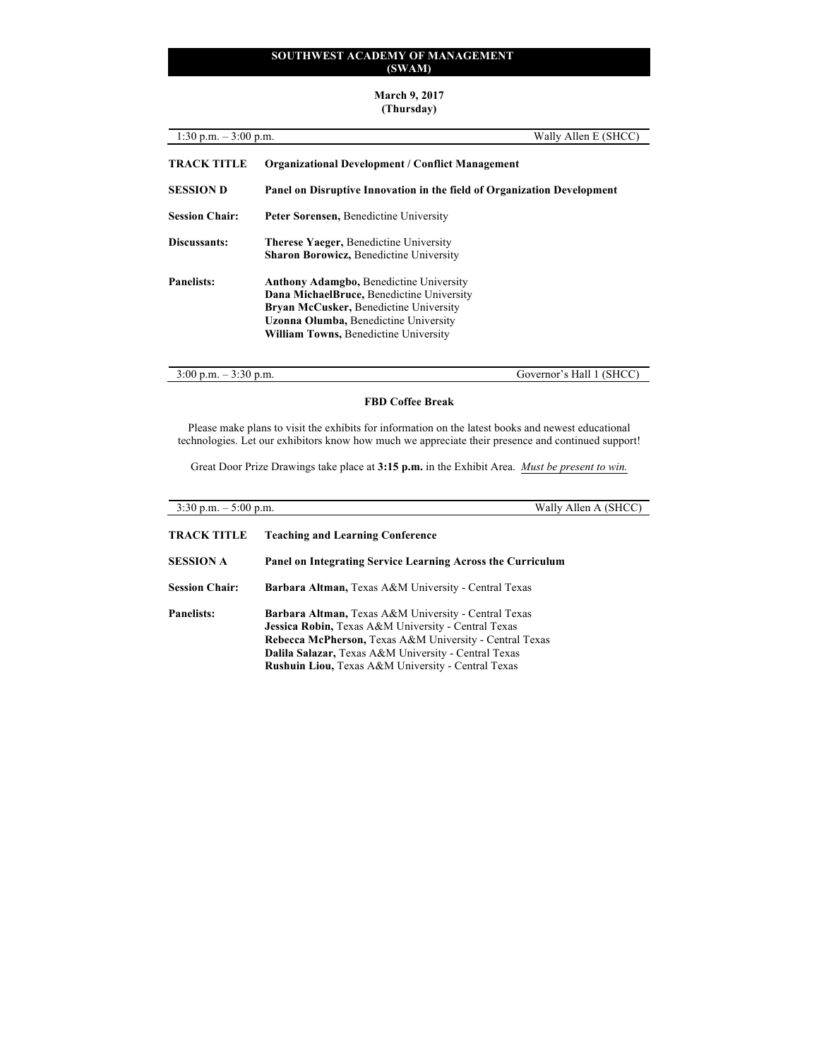# **March 9, 2017 (Thursday)**

| 1:30 p.m. $-3:00$ p.m. |                                                                                                                                                                                                                                | Wally Allen E (SHCC) |  |
|------------------------|--------------------------------------------------------------------------------------------------------------------------------------------------------------------------------------------------------------------------------|----------------------|--|
| <b>TRACK TITLE</b>     | <b>Organizational Development / Conflict Management</b><br>Panel on Disruptive Innovation in the field of Organization Development                                                                                             |                      |  |
| <b>SESSION D</b>       |                                                                                                                                                                                                                                |                      |  |
| <b>Session Chair:</b>  | <b>Peter Sorensen, Benedictine University</b>                                                                                                                                                                                  |                      |  |
| Discussants:           | <b>Therese Yaeger, Benedictine University</b><br><b>Sharon Borowicz, Benedictine University</b>                                                                                                                                |                      |  |
| <b>Panelists:</b>      | <b>Anthony Adamgbo, Benedictine University</b><br>Dana MichaelBruce, Benedictine University<br>Bryan McCusker, Benedictine University<br><b>Uzonna Olumba, Benedictine University</b><br>William Towns, Benedictine University |                      |  |

3:00 p.m. – 3:30 p.m. Governor's Hall 1 (SHCC)

# **FBD Coffee Break**

Please make plans to visit the exhibits for information on the latest books and newest educational technologies. Let our exhibitors know how much we appreciate their presence and continued support!

Great Door Prize Drawings take place at **3:15 p.m.** in the Exhibit Area. *Must be present to win.*

| $3:30$ p.m. $-5:00$ p.m. | Wally Allen A (SHCC)                                                                                                                                                                                                                                                                 |  |
|--------------------------|--------------------------------------------------------------------------------------------------------------------------------------------------------------------------------------------------------------------------------------------------------------------------------------|--|
| <b>TRACK TITLE</b>       | <b>Teaching and Learning Conference</b>                                                                                                                                                                                                                                              |  |
| <b>SESSION A</b>         | Panel on Integrating Service Learning Across the Curriculum                                                                                                                                                                                                                          |  |
| <b>Session Chair:</b>    | <b>Barbara Altman, Texas A&amp;M University - Central Texas</b>                                                                                                                                                                                                                      |  |
| <b>Panelists:</b>        | Barbara Altman, Texas A&M University - Central Texas<br>Jessica Robin, Texas A&M University - Central Texas<br>Rebecca McPherson, Texas A&M University - Central Texas<br>Dalila Salazar, Texas A&M University - Central Texas<br>Rushuin Liou, Texas A&M University - Central Texas |  |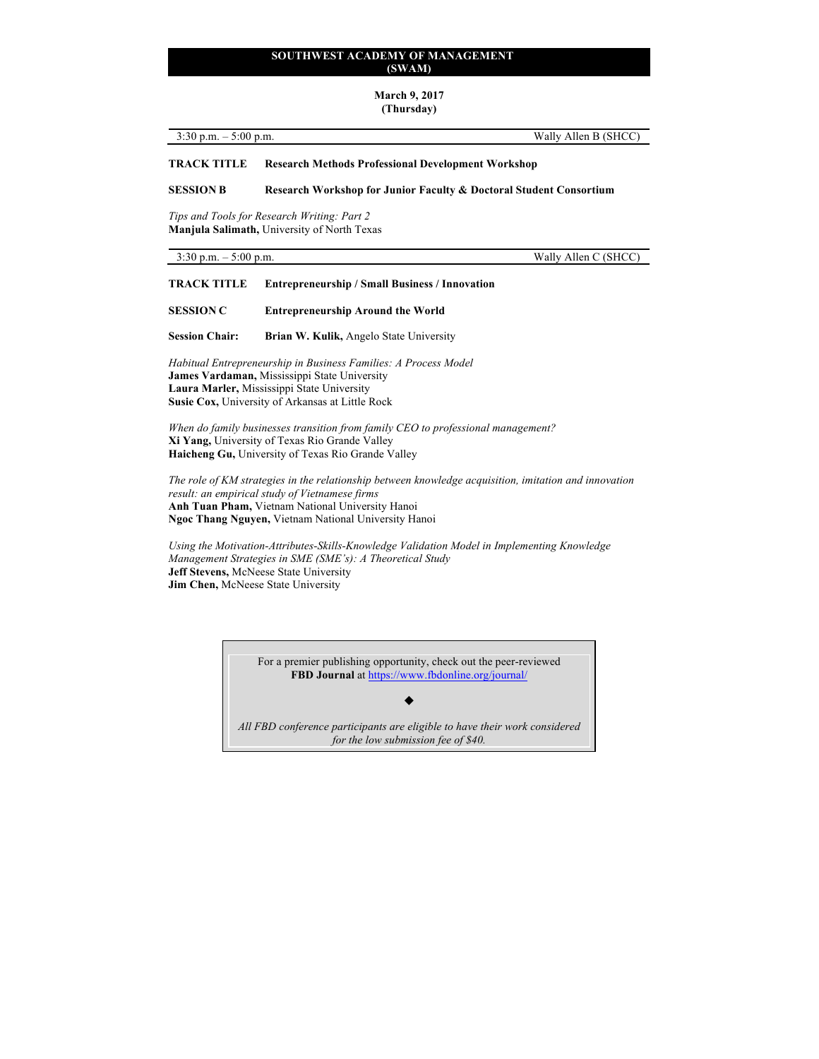# **March 9, 2017**

**(Thursday)**

3:30 p.m. – 5:00 p.m. Wally Allen B (SHCC)

**TRACK TITLE Research Methods Professional Development Workshop**

**SESSION B Research Workshop for Junior Faculty & Doctoral Student Consortium**

*Tips and Tools for Research Writing: Part 2* **Manjula Salimath,** University of North Texas

3:30 p.m. – 5:00 p.m. Wally Allen C (SHCC)

**TRACK TITLE Entrepreneurship / Small Business / Innovation**

**SESSION C Entrepreneurship Around the World**

**Session Chair: Brian W. Kulik,** Angelo State University

*Habitual Entrepreneurship in Business Families: A Process Model* **James Vardaman,** Mississippi State University **Laura Marler,** Mississippi State University **Susie Cox,** University of Arkansas at Little Rock

*When do family businesses transition from family CEO to professional management?* **Xi Yang,** University of Texas Rio Grande Valley **Haicheng Gu,** University of Texas Rio Grande Valley

*The role of KM strategies in the relationship between knowledge acquisition, imitation and innovation result: an empirical study of Vietnamese firms* **Anh Tuan Pham,** Vietnam National University Hanoi **Ngoc Thang Nguyen,** Vietnam National University Hanoi

*Using the Motivation-Attributes-Skills-Knowledge Validation Model in Implementing Knowledge Management Strategies in SME (SME's): A Theoretical Study* **Jeff Stevens,** McNeese State University **Jim Chen,** McNeese State University

> For a premier publishing opportunity, check out the peer-reviewed **FBD Journal** at https://www.fbdonline.org/journal/

> > $\blacklozenge$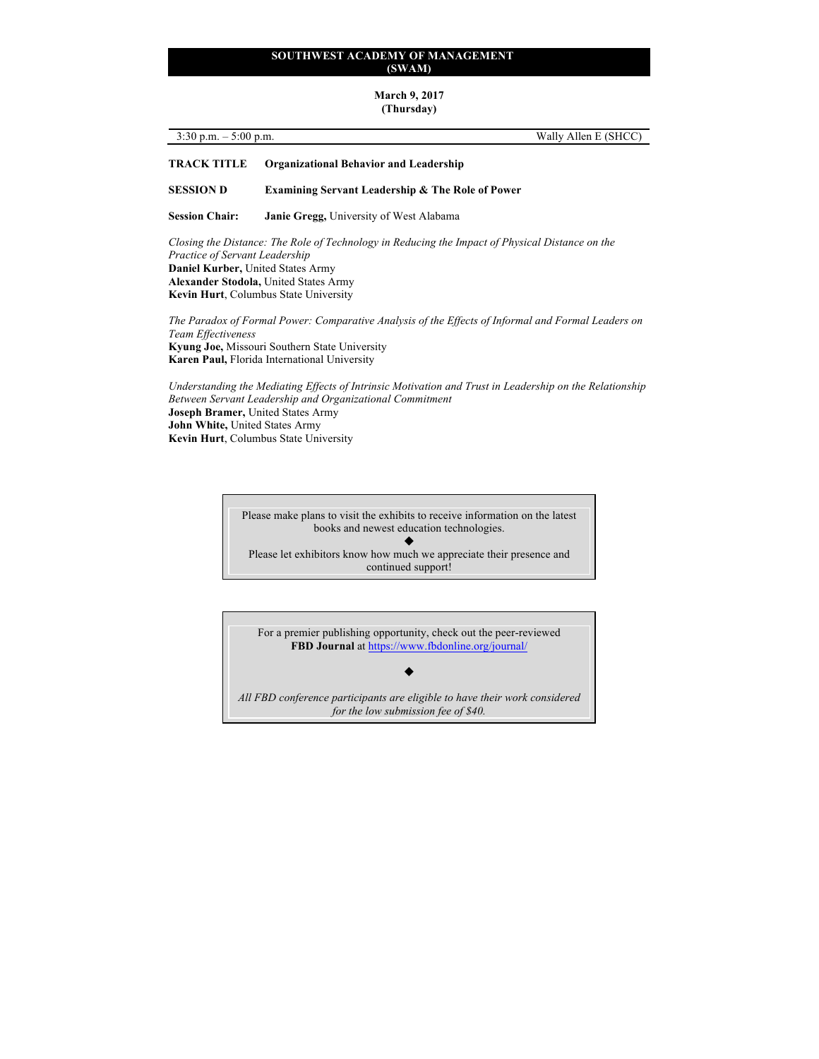#### **March 9, 2017 (Thursday)**

| $\sim$ $\sim$ $\sim$<br>$5:00$ p.m.<br>$-30$ p.m.<br>$\overline{\phantom{a}}$<br><u>J.JU</u> | E(SHCC)<br>Allen L<br>Wally. |
|----------------------------------------------------------------------------------------------|------------------------------|
|                                                                                              |                              |

# **TRACK TITLE Organizational Behavior and Leadership**

#### **SESSION D Examining Servant Leadership & The Role of Power**

**Session Chair: Janie Gregg,** University of West Alabama

*Closing the Distance: The Role of Technology in Reducing the Impact of Physical Distance on the Practice of Servant Leadership* **Daniel Kurber,** United States Army **Alexander Stodola,** United States Army **Kevin Hurt**, Columbus State University

*The Paradox of Formal Power: Comparative Analysis of the Effects of Informal and Formal Leaders on Team Effectiveness* **Kyung Joe,** Missouri Southern State University **Karen Paul,** Florida International University

*Understanding the Mediating Effects of Intrinsic Motivation and Trust in Leadership on the Relationship Between Servant Leadership and Organizational Commitment* **Joseph Bramer,** United States Army **John White,** United States Army **Kevin Hurt**, Columbus State University

> Please make plans to visit the exhibits to receive information on the latest books and newest education technologies.  $\blacklozenge$ Please let exhibitors know how much we appreciate their presence and continued support!

For a premier publishing opportunity, check out the peer-reviewed **FBD Journal** at https://www.fbdonline.org/journal/

*All FBD conference participants are eligible to have their work considered for the low submission fee of \$40.*

 $\blacklozenge$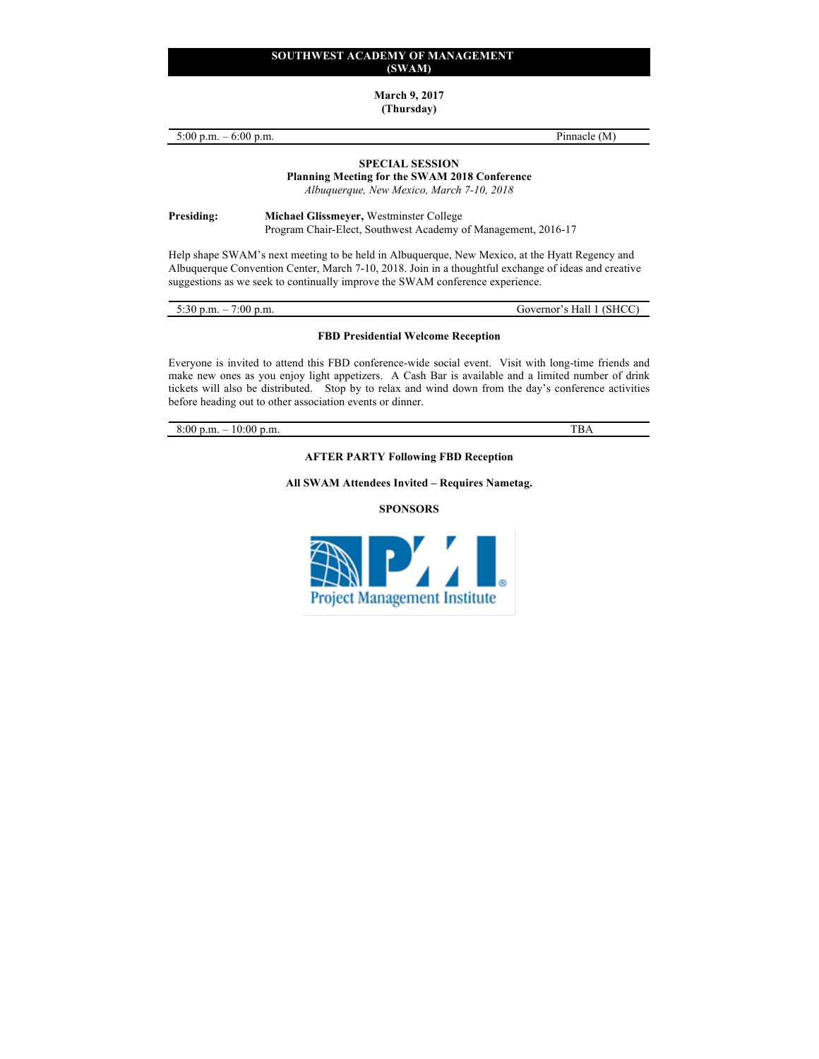**March 9, 2017**

**(Thursday)**

| 5:00 p.m. $-6:00$ p.m.<br><b>SPECIAL SESSION</b>                                                                                                                                                                                                                                        |                                                                                                          | Pinnacle (M)                                                                                      |  |
|-----------------------------------------------------------------------------------------------------------------------------------------------------------------------------------------------------------------------------------------------------------------------------------------|----------------------------------------------------------------------------------------------------------|---------------------------------------------------------------------------------------------------|--|
|                                                                                                                                                                                                                                                                                         |                                                                                                          | <b>Planning Meeting for the SWAM 2018 Conference</b><br>Albuquerque, New Mexico, March 7-10, 2018 |  |
| Presiding:                                                                                                                                                                                                                                                                              | Michael Glissmeyer, Westminster College<br>Program Chair-Elect, Southwest Academy of Management, 2016-17 |                                                                                                   |  |
| Help shape SWAM's next meeting to be held in Albuquerque, New Mexico, at the Hyatt Regency and<br>Albuquerque Convention Center, March 7-10, 2018. Join in a thoughtful exchange of ideas and creative<br>suggestions as we seek to continually improve the SWAM conference experience. |                                                                                                          |                                                                                                   |  |
| 5:30 p.m. $-7:00$ p.m.                                                                                                                                                                                                                                                                  |                                                                                                          | Governor's Hall 1 (SHCC)                                                                          |  |

# **FBD Presidential Welcome Reception**

Everyone is invited to attend this FBD conference-wide social event. Visit with long-time friends and make new ones as you enjoy light appetizers. A Cash Bar is available and a limited number of drink tickets will also be distributed. Stop by to relax and wind down from the day's conference activities before heading out to other association events or dinner.

8:00 p.m. – 10:00 p.m. TBA

**AFTER PARTY Following FBD Reception**

**All SWAM Attendees Invited – Requires Nametag.**

**SPONSORS**

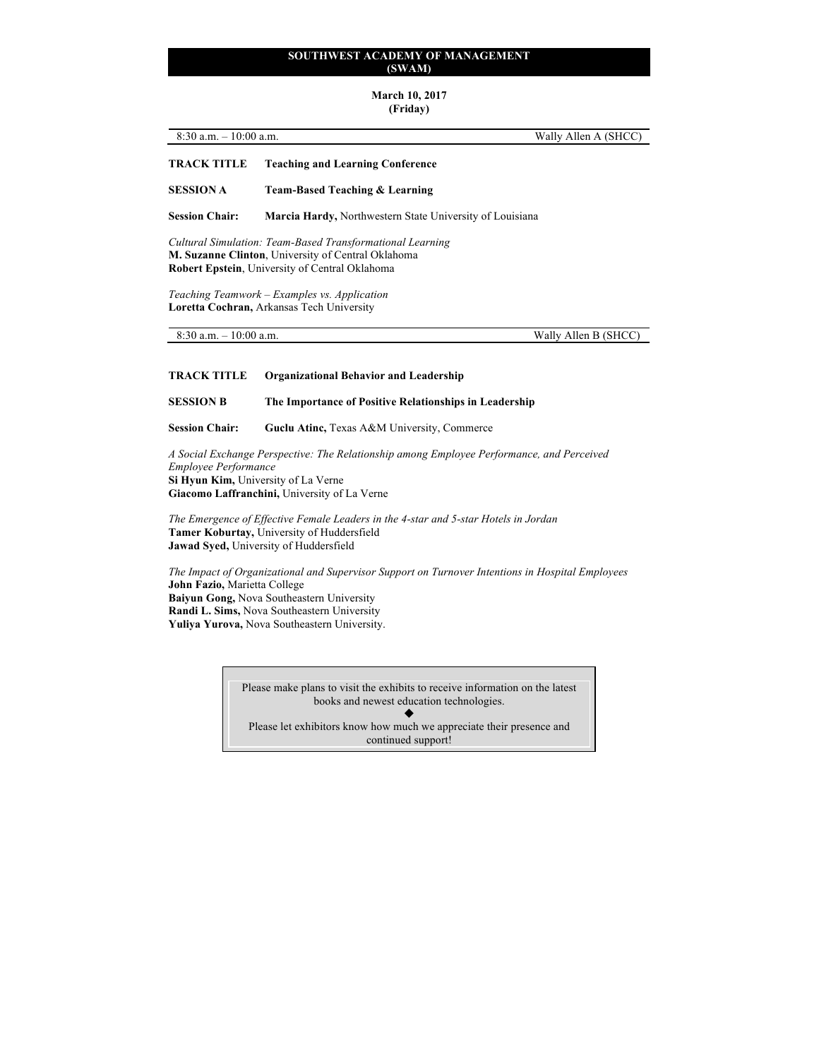# **March 10, 2017**

# **(Friday)**

| $8:30$ a.m. $-10:00$ a.m. | Wally Allen A (SHCC) |
|---------------------------|----------------------|
|                           |                      |

# **TRACK TITLE Teaching and Learning Conference**

**SESSION A Team-Based Teaching & Learning** 

**Session Chair: Marcia Hardy,** Northwestern State University of Louisiana

*Cultural Simulation: Team-Based Transformational Learning* **M. Suzanne Clinton**, University of Central Oklahoma **Robert Epstein**, University of Central Oklahoma

*Teaching Teamwork – Examples vs. Application* **Loretta Cochran,** Arkansas Tech University

| $8:30$ a.m. $-10:00$ a.m. | Wally Allen B (SHCC) |
|---------------------------|----------------------|

**TRACK TITLE Organizational Behavior and Leadership** 

**SESSION B The Importance of Positive Relationships in Leadership**

Session Chair: **Guclu Atinc, Texas A&M University, Commerce** 

*A Social Exchange Perspective: The Relationship among Employee Performance, and Perceived Employee Performance* **Si Hyun Kim,** University of La Verne **Giacomo Laffranchini,** University of La Verne

*The Emergence of Effective Female Leaders in the 4-star and 5-star Hotels in Jordan*  **Tamer Koburtay,** University of Huddersfield **Jawad Syed,** University of Huddersfield

*The Impact of Organizational and Supervisor Support on Turnover Intentions in Hospital Employees*  **John Fazio,** Marietta College **Baiyun Gong,** Nova Southeastern University **Randi L. Sims,** Nova Southeastern University **Yuliya Yurova,** Nova Southeastern University.

> Please make plans to visit the exhibits to receive information on the latest books and newest education technologies.  $\blacklozenge$ Please let exhibitors know how much we appreciate their presence and continued support!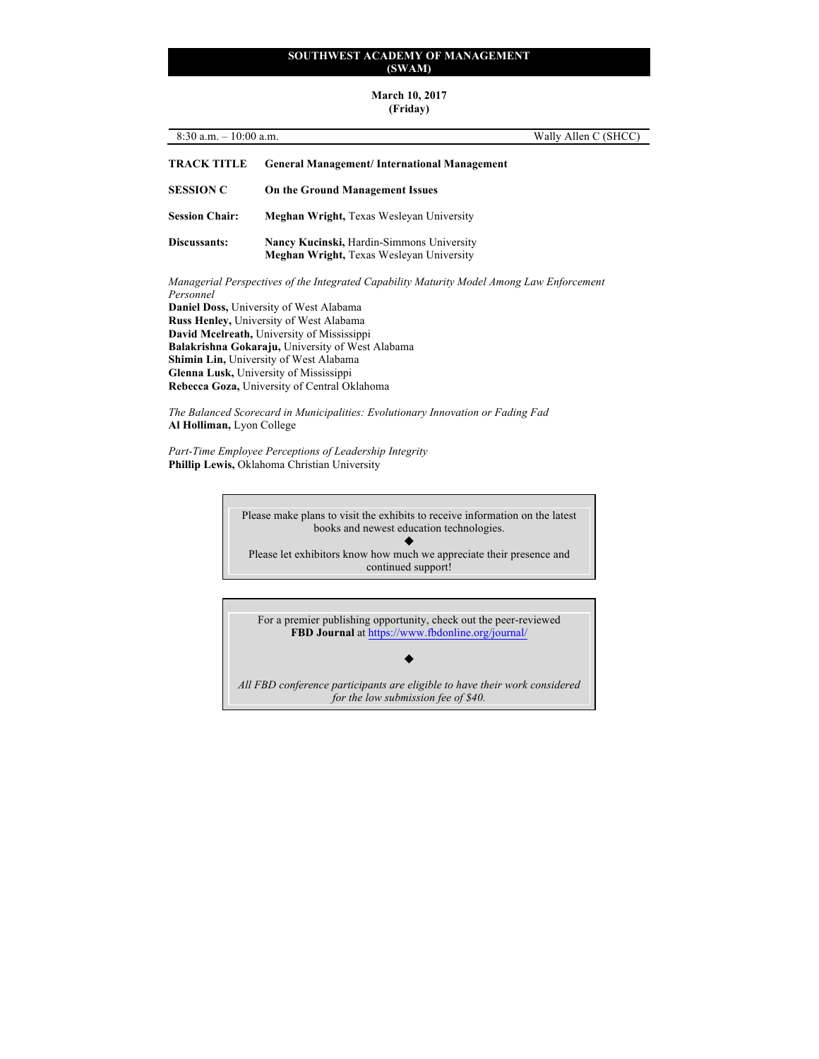# **March 10, 2017**

# **(Friday)**

| $8:30$ a.m. $-10:00$ a.m.                                                                                                                                |                                                                                              | Wally Allen C (SHCC) |
|----------------------------------------------------------------------------------------------------------------------------------------------------------|----------------------------------------------------------------------------------------------|----------------------|
| TRACK TITLE                                                                                                                                              | <b>General Management/International Management</b>                                           |                      |
| <b>SESSION C</b>                                                                                                                                         | On the Ground Management Issues                                                              |                      |
| <b>Session Chair:</b>                                                                                                                                    | <b>Meghan Wright, Texas Wesleyan University</b>                                              |                      |
| Discussants:                                                                                                                                             | Nancy Kucinski, Hardin-Simmons University<br><b>Meghan Wright, Texas Wesleyan University</b> |                      |
| Managerial Perspectives of the Integrated Capability Maturity Model Among Law Enforcement<br>Personnel<br><b>Daniel Doss, University of West Alabama</b> |                                                                                              |                      |

**Russ Henley,** University of West Alabama **David Mcelreath,** University of Mississippi **Balakrishna Gokaraju,** University of West Alabama **Shimin Lin,** University of West Alabama **Glenna Lusk,** University of Mississippi **Rebecca Goza,** University of Central Oklahoma

*The Balanced Scorecard in Municipalities: Evolutionary Innovation or Fading Fad* **Al Holliman,** Lyon College

*Part-Time Employee Perceptions of Leadership Integrity* **Phillip Lewis,** Oklahoma Christian University



For a premier publishing opportunity, check out the peer-reviewed **FBD Journal** at https://www.fbdonline.org/journal/

 $\blacklozenge$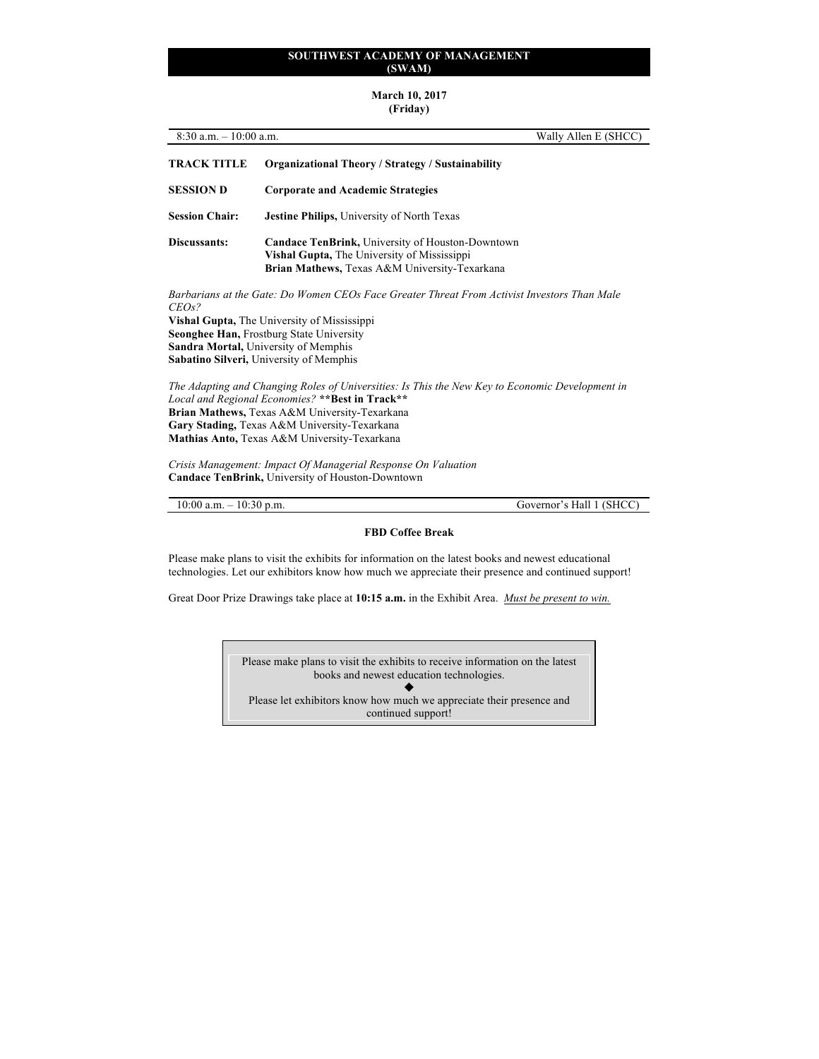#### **March 10, 2017 (Friday)**

# 8:30 a.m. – 10:00 a.m. Wally Allen E (SHCC) **TRACK TITLE Organizational Theory / Strategy / Sustainability SESSION D Corporate and Academic Strategies Session Chair: Jestine Philips,** University of North Texas **Discussants: Candace TenBrink,** University of Houston-Downtown **Vishal Gupta,** The University of Mississippi **Brian Mathews,** Texas A&M University-Texarkana *Barbarians at the Gate: Do Women CEOs Face Greater Threat From Activist Investors Than Male CEOs?* **Vishal Gupta,** The University of Mississippi **Seonghee Han,** Frostburg State University **Sandra Mortal,** University of Memphis **Sabatino Silveri,** University of Memphis *The Adapting and Changing Roles of Universities: Is This the New Key to Economic Development in Local and Regional Economies?* **\*\*Best in Track\*\* Brian Mathews,** Texas A&M University-Texarkana **Gary Stading,** Texas A&M University-Texarkana **Mathias Anto,** Texas A&M University-Texarkana *Crisis Management: Impact Of Managerial Response On Valuation* **Candace TenBrink,** University of Houston-Downtown

10:00 a.m. – 10:30 p.m. Governor's Hall 1 (SHCC)

#### **FBD Coffee Break**

Please make plans to visit the exhibits for information on the latest books and newest educational technologies. Let our exhibitors know how much we appreciate their presence and continued support!

Great Door Prize Drawings take place at **10:15 a.m.** in the Exhibit Area. *Must be present to win.*

Please make plans to visit the exhibits to receive information on the latest books and newest education technologies.  $\blacklozenge$ Please let exhibitors know how much we appreciate their presence and continued support!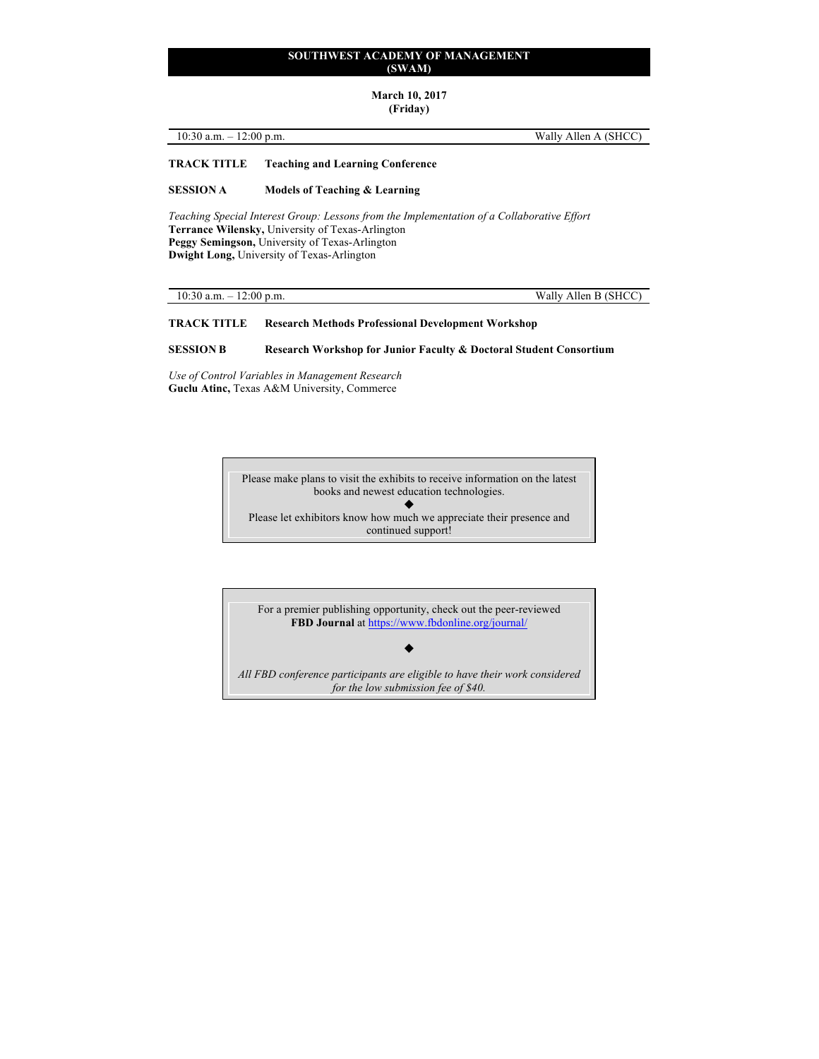**March 10, 2017**

**(Friday)**

10:30 a.m. – 12:00 p.m. Wally Allen A (SHCC)

# **TRACK TITLE Teaching and Learning Conference**

#### **SESSION A Models of Teaching & Learning**

*Teaching Special Interest Group: Lessons from the Implementation of a Collaborative Effort* **Terrance Wilensky,** University of Texas-Arlington **Peggy Semingson,** University of Texas-Arlington **Dwight Long,** University of Texas-Arlington

10:30 a.m. – 12:00 p.m. Wally Allen B (SHCC)

# **TRACK TITLE Research Methods Professional Development Workshop**

#### **SESSION B Research Workshop for Junior Faculty & Doctoral Student Consortium**

*Use of Control Variables in Management Research* **Guclu Atinc,** Texas A&M University, Commerce

> Please make plans to visit the exhibits to receive information on the latest books and newest education technologies.  $\blacklozenge$ Please let exhibitors know how much we appreciate their presence and continued support!

For a premier publishing opportunity, check out the peer-reviewed **FBD Journal** at https://www.fbdonline.org/journal/

*All FBD conference participants are eligible to have their work considered for the low submission fee of \$40.*

 $\blacklozenge$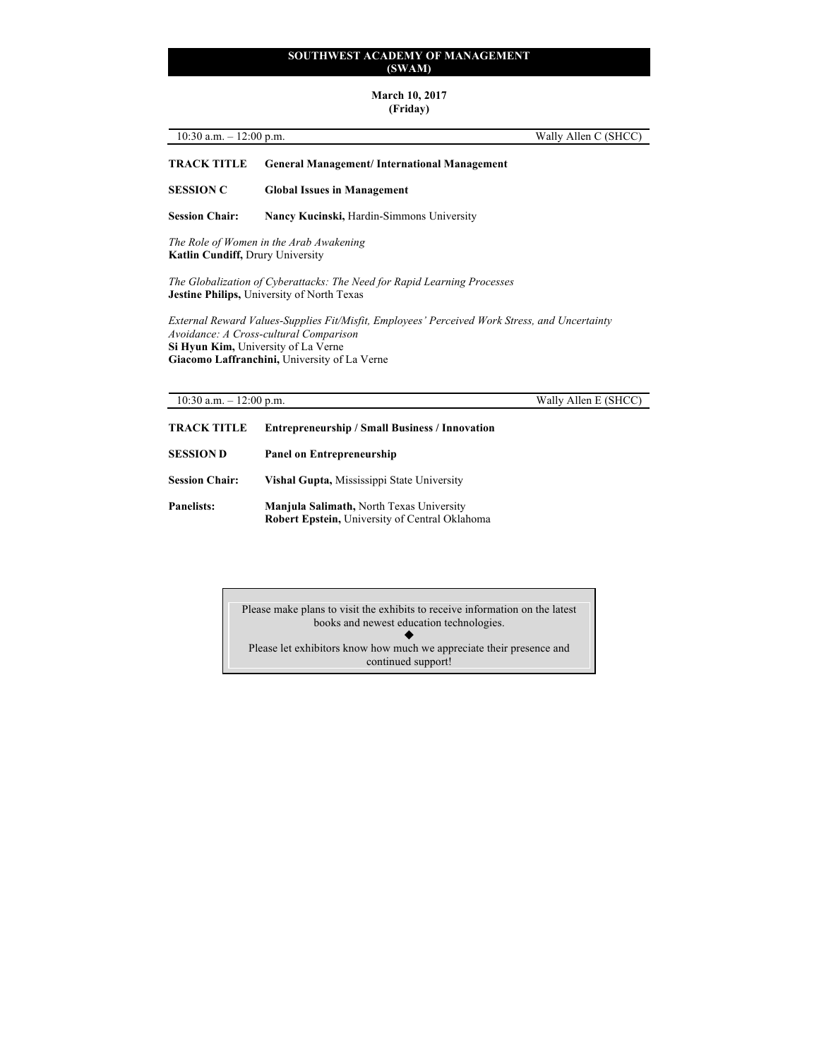# **March 10, 2017**

# **(Friday)**

| $10:30$ a.m. | (SHCC)  |
|--------------|---------|
| $12:00$ p.m. | Wally   |
|              | Allen C |
| _            |         |
|              |         |

# **TRACK TITLE General Management/ International Management**

**SESSION C Global Issues in Management** 

**Session Chair: Nancy Kucinski,** Hardin-Simmons University

*The Role of Women in the Arab Awakening* **Katlin Cundiff,** Drury University

*The Globalization of Cyberattacks: The Need for Rapid Learning Processes* **Jestine Philips,** University of North Texas

*External Reward Values-Supplies Fit/Misfit, Employees' Perceived Work Stress, and Uncertainty Avoidance: A Cross-cultural Comparison* **Si Hyun Kim,** University of La Verne **Giacomo Laffranchini,** University of La Verne

10:30 a.m. – 12:00 p.m. Wally Allen E (SHCC)

| <b>TRACK TITLE</b><br><b>Entrepreneurship / Small Business / Innovation</b> |                                                                                                   |
|-----------------------------------------------------------------------------|---------------------------------------------------------------------------------------------------|
| <b>SESSION D</b>                                                            | <b>Panel on Entrepreneurship</b>                                                                  |
| <b>Session Chair:</b>                                                       | Vishal Gupta, Mississippi State University                                                        |
| <b>Panelists:</b>                                                           | Manjula Salimath, North Texas University<br><b>Robert Epstein, University of Central Oklahoma</b> |

Please make plans to visit the exhibits to receive information on the latest books and newest education technologies.  $\blacklozenge$ Please let exhibitors know how much we appreciate their presence and continued support!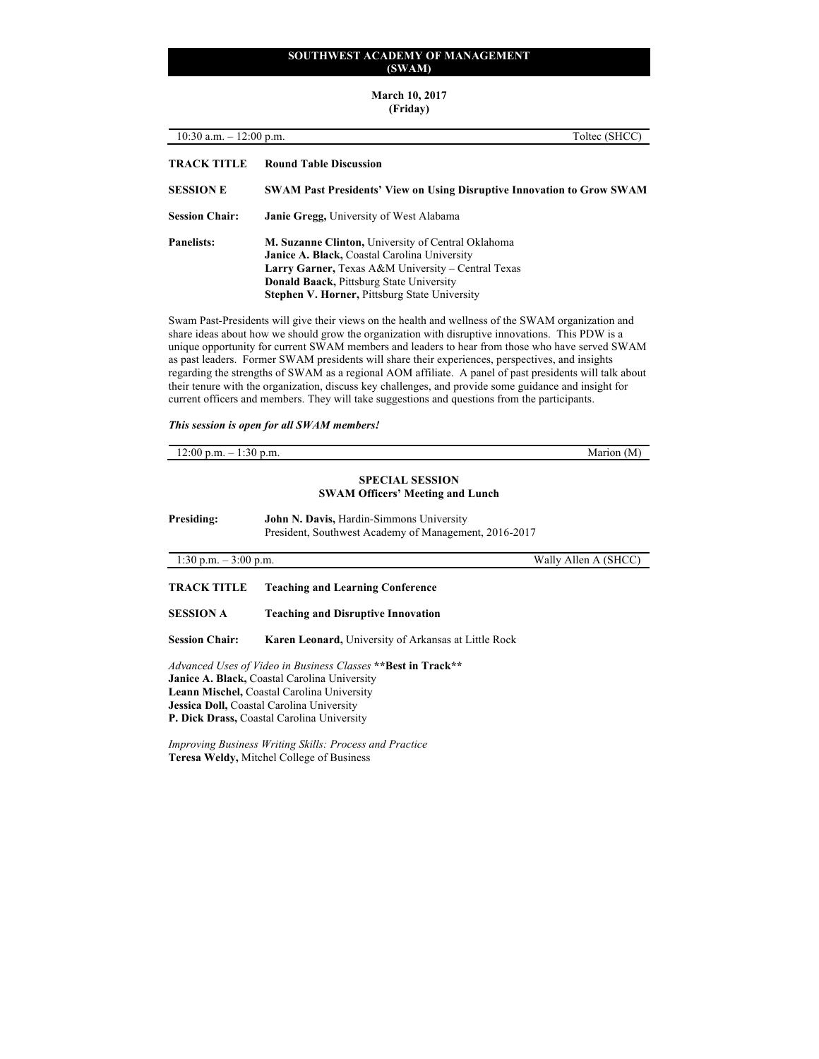**March 10, 2017 (Friday)**

| $10:30$ a.m. $-12:00$ p.m.<br>Toltec (SHCC)                                                       |                                                                                                                                                                                                                                                                                   |
|---------------------------------------------------------------------------------------------------|-----------------------------------------------------------------------------------------------------------------------------------------------------------------------------------------------------------------------------------------------------------------------------------|
| <b>TRACK TITLE</b>                                                                                | <b>Round Table Discussion</b>                                                                                                                                                                                                                                                     |
| <b>SESSION E</b><br><b>SWAM Past Presidents' View on Using Disruptive Innovation to Grow SWAM</b> |                                                                                                                                                                                                                                                                                   |
| <b>Session Chair:</b>                                                                             | <b>Janie Gregg, University of West Alabama</b>                                                                                                                                                                                                                                    |
| Panelists:                                                                                        | <b>M. Suzanne Clinton, University of Central Oklahoma</b><br><b>Janice A. Black, Coastal Carolina University</b><br>Larry Garner, Texas A&M University – Central Texas<br><b>Donald Baack, Pittsburg State University</b><br><b>Stephen V. Horner, Pittsburg State University</b> |
|                                                                                                   | Swam Past-Presidents will give their views on the health and wellness of the SWAM organization and<br>share ideas about how we should grow the organization with disruptive innovations. This PDW is a                                                                            |

unique opportunity for current SWAM members and leaders to hear from those who have served SWAM as past leaders. Former SWAM presidents will share their experiences, perspectives, and insights regarding the strengths of SWAM as a regional AOM affiliate. A panel of past presidents will talk about their tenure with the organization, discuss key challenges, and provide some guidance and insight for current officers and members. They will take suggestions and questions from the participants.

*This session is open for all SWAM members!*

| $12:00$ p.m. $-1:30$ p.m. |                                                                                                   | Marion (M)           |
|---------------------------|---------------------------------------------------------------------------------------------------|----------------------|
|                           | <b>SPECIAL SESSION</b><br><b>SWAM Officers' Meeting and Lunch</b>                                 |                      |
| Presiding:                | John N. Davis, Hardin-Simmons University<br>President, Southwest Academy of Management, 2016-2017 |                      |
| 1:30 p.m. $-3:00$ p.m.    |                                                                                                   | Wally Allen A (SHCC) |
| <b>TRACK TITLE</b>        | <b>Teaching and Learning Conference</b>                                                           |                      |

**SESSION A Teaching and Disruptive Innovation Session Chair: Karen Leonard,** University of Arkansas at Little Rock

*Advanced Uses of Video in Business Classes* **\*\*Best in Track\*\* Janice A. Black,** Coastal Carolina University **Leann Mischel,** Coastal Carolina University **Jessica Doll,** Coastal Carolina University **P. Dick Drass,** Coastal Carolina University

*Improving Business Writing Skills: Process and Practice* **Teresa Weldy,** Mitchel College of Business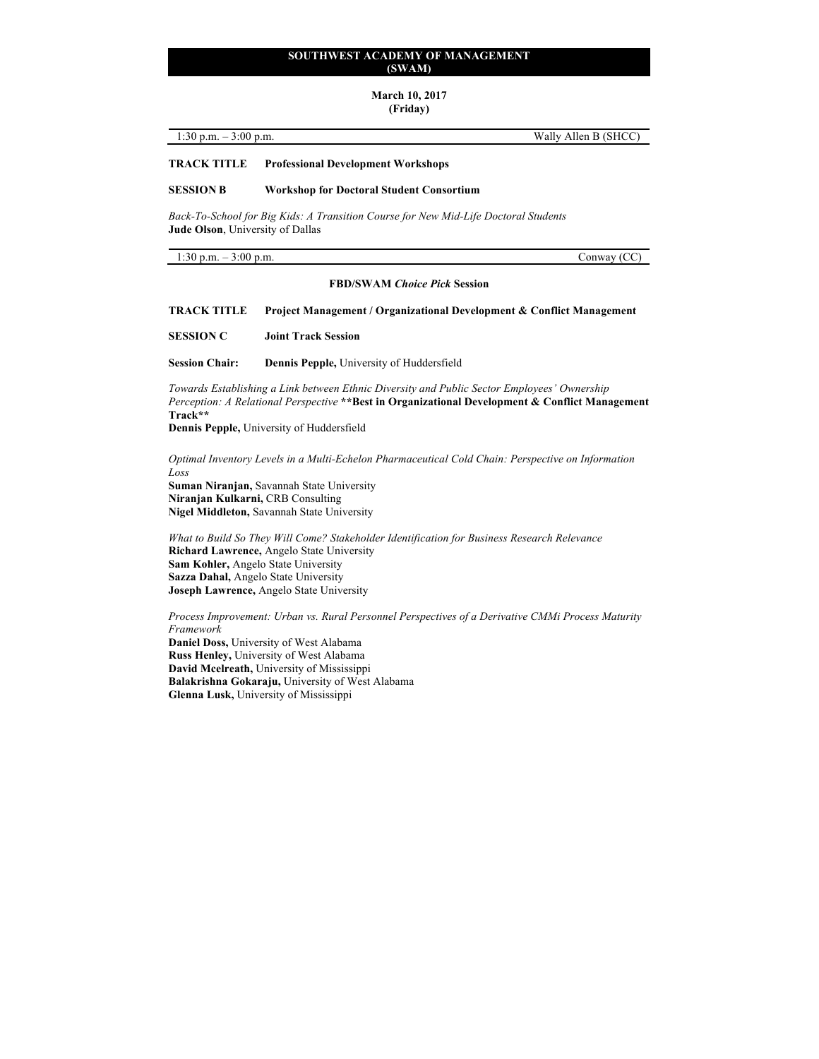# **March 10, 2017**

# **(Friday)**

| 1:30 p.m. $-3:00$ p.m. | Wally Allen B (SHCC) |  |
|------------------------|----------------------|--|
|                        |                      |  |

#### **TRACK TITLE Professional Development Workshops**

#### **SESSION B Workshop for Doctoral Student Consortium**

*Back-To-School for Big Kids: A Transition Course for New Mid-Life Doctoral Students* **Jude Olson**, University of Dallas

1:30 p.m. – 3:00 p.m. Conway (CC)

#### **FBD/SWAM** *Choice Pick* **Session**

**TRACK TITLE Project Management / Organizational Development & Conflict Management**

**SESSION C Joint Track Session**

**Session Chair: Dennis Pepple,** University of Huddersfield

*Towards Establishing a Link between Ethnic Diversity and Public Sector Employees' Ownership Perception: A Relational Perspective* **\*\*Best in Organizational Development & Conflict Management Track\*\***

**Dennis Pepple,** University of Huddersfield

*Optimal Inventory Levels in a Multi-Echelon Pharmaceutical Cold Chain: Perspective on Information Loss* **Suman Niranjan,** Savannah State University **Niranjan Kulkarni,** CRB Consulting

**Nigel Middleton,** Savannah State University

*What to Build So They Will Come? Stakeholder Identification for Business Research Relevance* **Richard Lawrence,** Angelo State University **Sam Kohler,** Angelo State University **Sazza Dahal,** Angelo State University **Joseph Lawrence,** Angelo State University

*Process Improvement: Urban vs. Rural Personnel Perspectives of a Derivative CMMi Process Maturity Framework*

**Daniel Doss,** University of West Alabama **Russ Henley,** University of West Alabama **David Mcelreath,** University of Mississippi **Balakrishna Gokaraju,** University of West Alabama **Glenna Lusk,** University of Mississippi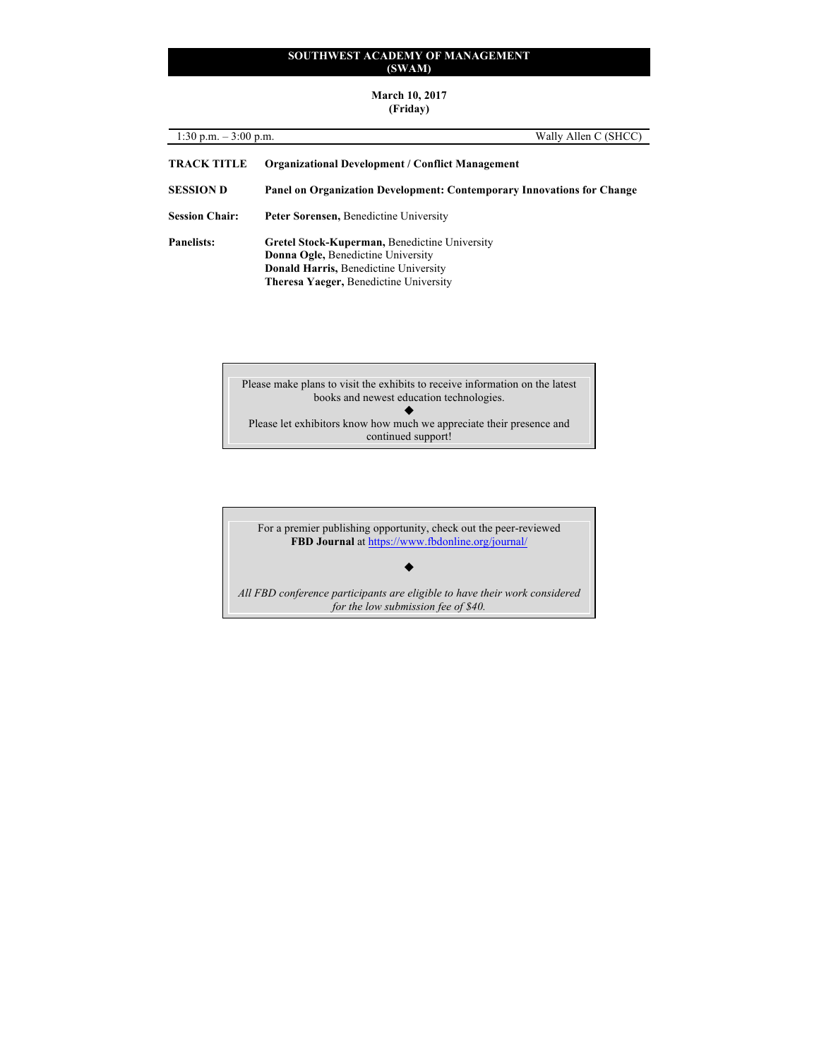#### **March 10, 2017 (Friday)**

| 1:30 p.m. $-3:00$ p.m. | Wally Allen C (SHCC)                                                                                                                                                                 |
|------------------------|--------------------------------------------------------------------------------------------------------------------------------------------------------------------------------------|
| <b>TRACK TITLE</b>     | <b>Organizational Development / Conflict Management</b>                                                                                                                              |
| <b>SESSION D</b>       | Panel on Organization Development: Contemporary Innovations for Change                                                                                                               |
| <b>Session Chair:</b>  | <b>Peter Sorensen, Benedictine University</b>                                                                                                                                        |
| <b>Panelists:</b>      | Gretel Stock-Kuperman, Benedictine University<br><b>Donna Ogle, Benedictine University</b><br><b>Donald Harris, Benedictine University</b><br>Theresa Yaeger, Benedictine University |

Please make plans to visit the exhibits to receive information on the latest books and newest education technologies.  $\blacklozenge$ Please let exhibitors know how much we appreciate their presence and continued support!

For a premier publishing opportunity, check out the peer-reviewed **FBD Journal** at https://www.fbdonline.org/journal/

 $\blacklozenge$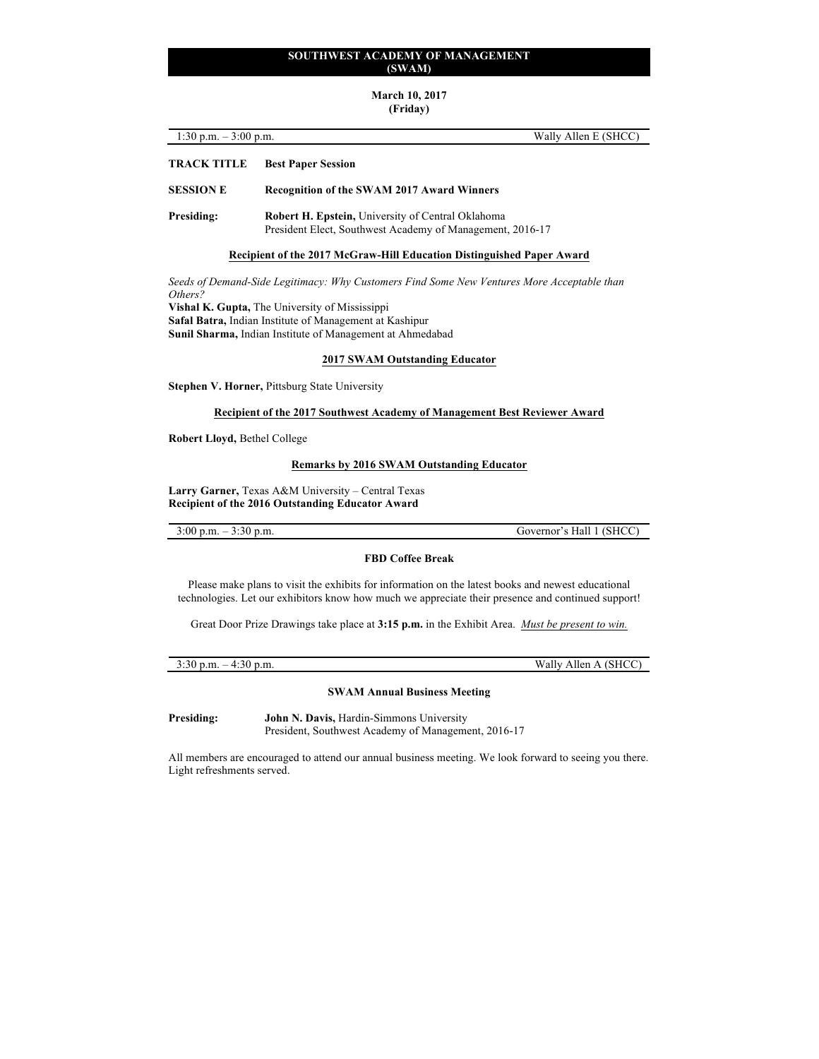# **March 10, 2017**

# **(Friday)**

| 1:30 p.m. $-3:00$ p.m. |                                                   | Wally Allen E (SHCC) |
|------------------------|---------------------------------------------------|----------------------|
| <b>TRACK TITLE</b>     | <b>Best Paper Session</b>                         |                      |
| <b>SESSION E</b>       | <b>Recognition of the SWAM 2017 Award Winners</b> |                      |

**Presiding: Robert H. Epstein,** University of Central Oklahoma President Elect, Southwest Academy of Management, 2016-17

#### **Recipient of the 2017 McGraw-Hill Education Distinguished Paper Award**

*Seeds of Demand-Side Legitimacy: Why Customers Find Some New Ventures More Acceptable than Others?*  **Vishal K. Gupta,** The University of Mississippi

**Safal Batra,** Indian Institute of Management at Kashipur

**Sunil Sharma,** Indian Institute of Management at Ahmedabad

### **2017 SWAM Outstanding Educator**

**Stephen V. Horner,** Pittsburg State University

#### **Recipient of the 2017 Southwest Academy of Management Best Reviewer Award**

**Robert Lloyd,** Bethel College

#### **Remarks by 2016 SWAM Outstanding Educator**

**Larry Garner,** Texas A&M University – Central Texas **Recipient of the 2016 Outstanding Educator Award**

3:00 p.m. – 3:30 p.m. Governor's Hall 1 (SHCC)

# **FBD Coffee Break**

Please make plans to visit the exhibits for information on the latest books and newest educational technologies. Let our exhibitors know how much we appreciate their presence and continued support!

Great Door Prize Drawings take place at **3:15 p.m.** in the Exhibit Area. *Must be present to win.*

| $-4:30$<br>p.m.<br>3:30 p.m. | Allen A (SHCC<br>Wally. |
|------------------------------|-------------------------|
|                              |                         |

# **SWAM Annual Business Meeting**

**Presiding: John N. Davis,** Hardin-Simmons University President, Southwest Academy of Management, 2016-17

All members are encouraged to attend our annual business meeting. We look forward to seeing you there. Light refreshments served.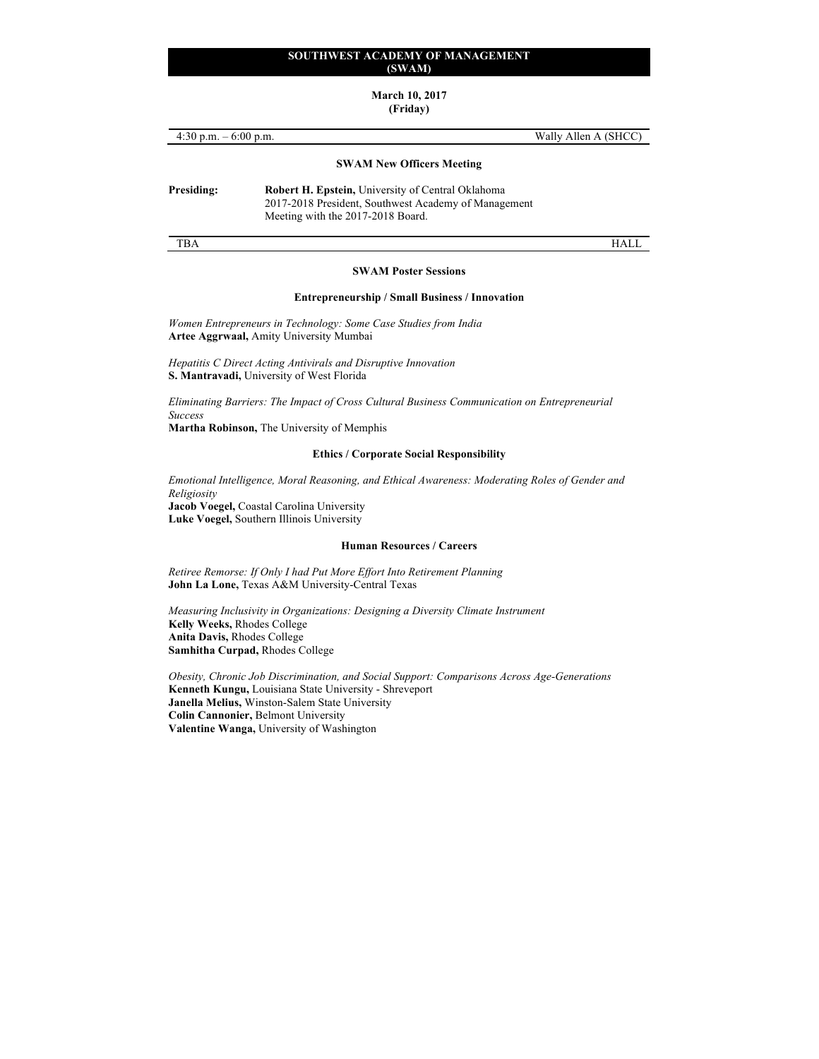# **March 10, 2017**

# **(Friday)**

| 4:30 p.m. $-6:00$ p.m. |                                                                                                                                                       | Wally Allen A (SHCC) |
|------------------------|-------------------------------------------------------------------------------------------------------------------------------------------------------|----------------------|
|                        | <b>SWAM New Officers Meeting</b>                                                                                                                      |                      |
| Presiding:             | <b>Robert H. Epstein, University of Central Oklahoma</b><br>2017-2018 President, Southwest Academy of Management<br>Meeting with the 2017-2018 Board. |                      |
| TBA                    |                                                                                                                                                       |                      |

#### **SWAM Poster Sessions**

#### **Entrepreneurship / Small Business / Innovation**

*Women Entrepreneurs in Technology: Some Case Studies from India* **Artee Aggrwaal,** Amity University Mumbai

*Hepatitis C Direct Acting Antivirals and Disruptive Innovation* **S. Mantravadi,** University of West Florida

*Eliminating Barriers: The Impact of Cross Cultural Business Communication on Entrepreneurial Success*

**Martha Robinson,** The University of Memphis

#### **Ethics / Corporate Social Responsibility**

*Emotional Intelligence, Moral Reasoning, and Ethical Awareness: Moderating Roles of Gender and Religiosity* **Jacob Voegel,** Coastal Carolina University **Luke Voegel,** Southern Illinois University

#### **Human Resources / Careers**

*Retiree Remorse: If Only I had Put More Effort Into Retirement Planning* **John La Lone,** Texas A&M University-Central Texas

*Measuring Inclusivity in Organizations: Designing a Diversity Climate Instrument* **Kelly Weeks,** Rhodes College **Anita Davis,** Rhodes College **Samhitha Curpad,** Rhodes College

*Obesity, Chronic Job Discrimination, and Social Support: Comparisons Across Age-Generations* **Kenneth Kungu,** Louisiana State University - Shreveport **Janella Melius,** Winston-Salem State University **Colin Cannonier,** Belmont University **Valentine Wanga,** University of Washington